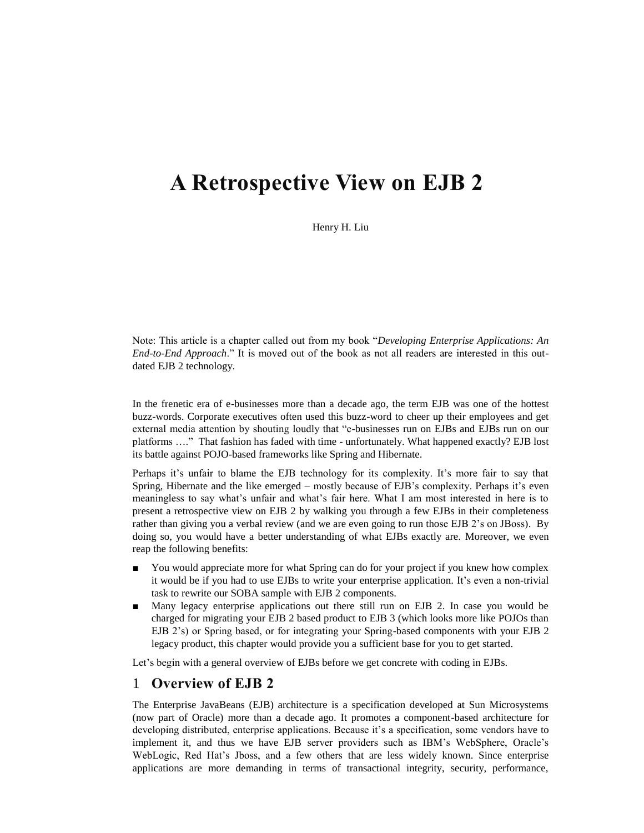# **A Retrospective View on EJB 2**

Henry H. Liu

Note: This article is a chapter called out from my book "*Developing Enterprise Applications: An End-to-End Approach*." It is moved out of the book as not all readers are interested in this outdated EJB 2 technology.

In the frenetic era of e-businesses more than a decade ago, the term EJB was one of the hottest buzz-words. Corporate executives often used this buzz-word to cheer up their employees and get external media attention by shouting loudly that "e-businesses run on EJBs and EJBs run on our platforms …." That fashion has faded with time - unfortunately. What happened exactly? EJB lost its battle against POJO-based frameworks like Spring and Hibernate.

Perhaps it's unfair to blame the EJB technology for its complexity. It's more fair to say that Spring, Hibernate and the like emerged – mostly because of EJB's complexity. Perhaps it's even meaningless to say what's unfair and what's fair here. What I am most interested in here is to present a retrospective view on EJB 2 by walking you through a few EJBs in their completeness rather than giving you a verbal review (and we are even going to run those EJB 2's on JBoss). By doing so, you would have a better understanding of what EJBs exactly are. Moreover, we even reap the following benefits:

- You would appreciate more for what Spring can do for your project if you knew how complex it would be if you had to use EJBs to write your enterprise application. It's even a non-trivial task to rewrite our SOBA sample with EJB 2 components.
- Many legacy enterprise applications out there still run on EJB 2. In case you would be charged for migrating your EJB 2 based product to EJB 3 (which looks more like POJOs than EJB 2's) or Spring based, or for integrating your Spring-based components with your EJB 2 legacy product, this chapter would provide you a sufficient base for you to get started.

Let's begin with a general overview of EJBs before we get concrete with coding in EJBs.

# 1 **Overview of EJB 2**

The Enterprise JavaBeans (EJB) architecture is a specification developed at Sun Microsystems (now part of Oracle) more than a decade ago. It promotes a component-based architecture for developing distributed, enterprise applications. Because it's a specification, some vendors have to implement it, and thus we have EJB server providers such as IBM's WebSphere, Oracle's WebLogic, Red Hat's Jboss, and a few others that are less widely known. Since enterprise applications are more demanding in terms of transactional integrity, security, performance,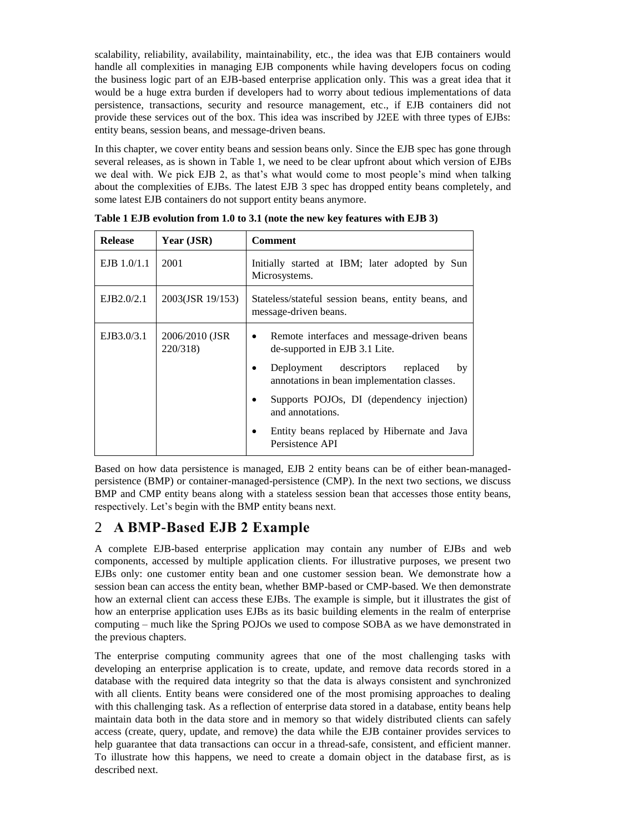scalability, reliability, availability, maintainability, etc., the idea was that EJB containers would handle all complexities in managing EJB components while having developers focus on coding the business logic part of an EJB-based enterprise application only. This was a great idea that it would be a huge extra burden if developers had to worry about tedious implementations of data persistence, transactions, security and resource management, etc., if EJB containers did not provide these services out of the box. This idea was inscribed by J2EE with three types of EJBs: entity beans, session beans, and message-driven beans.

In this chapter, we cover entity beans and session beans only. Since the EJB spec has gone through several releases, as is shown in Table 1, we need to be clear upfront about which version of EJBs we deal with. We pick EJB 2, as that's what would come to most people's mind when talking about the complexities of EJBs. The latest EJB 3 spec has dropped entity beans completely, and some latest EJB containers do not support entity beans anymore.

| <b>Release</b> | Year (JSR)                  | <b>Comment</b>                                                                                                                                    |
|----------------|-----------------------------|---------------------------------------------------------------------------------------------------------------------------------------------------|
| $EJB$ 1.0/1.1  | 2001                        | Initially started at IBM; later adopted by Sun<br>Microsystems.                                                                                   |
| EJB2.0/2.1     | 2003(JSR 19/153)            | Stateless/stateful session beans, entity beans, and<br>message-driven beans.                                                                      |
| EJB3.0/3.1     | 2006/2010 (JSR)<br>220/318) | Remote interfaces and message-driven beans<br>$\bullet$<br>de-supported in EJB 3.1 Lite.<br>Deployment descriptors<br>replaced<br>by<br>$\bullet$ |
|                |                             | annotations in bean implementation classes.                                                                                                       |
|                |                             | Supports POJOs, DI (dependency injection)<br>and annotations.                                                                                     |
|                |                             | Entity beans replaced by Hibernate and Java<br>Persistence API                                                                                    |

**Table 1 EJB evolution from 1.0 to 3.1 (note the new key features with EJB 3)**

Based on how data persistence is managed, EJB 2 entity beans can be of either bean-managedpersistence (BMP) or container-managed-persistence (CMP). In the next two sections, we discuss BMP and CMP entity beans along with a stateless session bean that accesses those entity beans, respectively. Let's begin with the BMP entity beans next.

# 2 **A BMP-Based EJB 2 Example**

A complete EJB-based enterprise application may contain any number of EJBs and web components, accessed by multiple application clients. For illustrative purposes, we present two EJBs only: one customer entity bean and one customer session bean. We demonstrate how a session bean can access the entity bean, whether BMP-based or CMP-based. We then demonstrate how an external client can access these EJBs. The example is simple, but it illustrates the gist of how an enterprise application uses EJBs as its basic building elements in the realm of enterprise computing – much like the Spring POJOs we used to compose SOBA as we have demonstrated in the previous chapters.

The enterprise computing community agrees that one of the most challenging tasks with developing an enterprise application is to create, update, and remove data records stored in a database with the required data integrity so that the data is always consistent and synchronized with all clients. Entity beans were considered one of the most promising approaches to dealing with this challenging task. As a reflection of enterprise data stored in a database, entity beans help maintain data both in the data store and in memory so that widely distributed clients can safely access (create, query, update, and remove) the data while the EJB container provides services to help guarantee that data transactions can occur in a thread-safe, consistent, and efficient manner. To illustrate how this happens, we need to create a domain object in the database first, as is described next.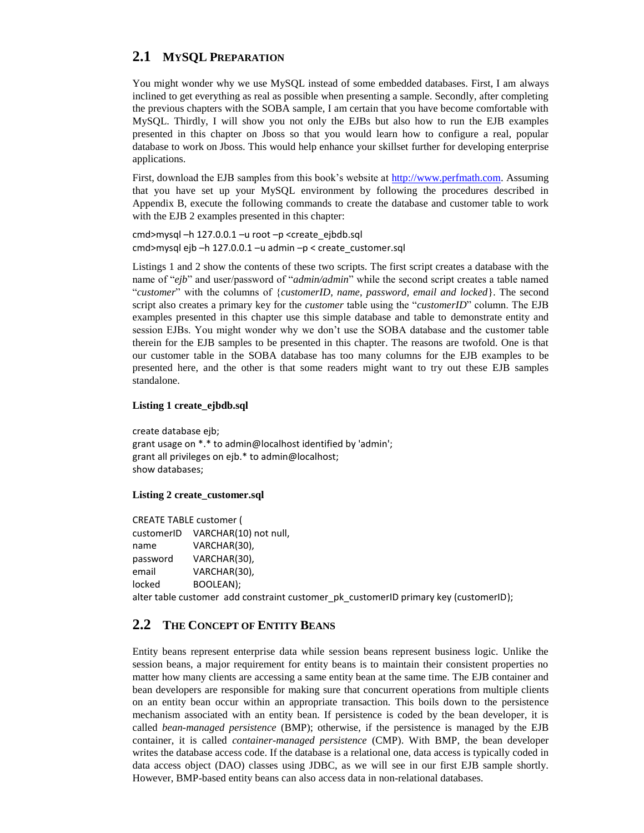# **2.1 MYSQL PREPARATION**

You might wonder why we use MySQL instead of some embedded databases. First, I am always inclined to get everything as real as possible when presenting a sample. Secondly, after completing the previous chapters with the SOBA sample, I am certain that you have become comfortable with MySQL. Thirdly, I will show you not only the EJBs but also how to run the EJB examples presented in this chapter on Jboss so that you would learn how to configure a real, popular database to work on Jboss. This would help enhance your skillset further for developing enterprise applications.

First, download the EJB samples from this book's website at [http://www.perfmath.com.](http://www.perfmath.com/) Assuming that you have set up your MySQL environment by following the procedures described in Appendix B, execute the following commands to create the database and customer table to work with the EJB 2 examples presented in this chapter:

cmd>mysql –h 127.0.0.1 –u root –p <create\_ejbdb.sql cmd>mysql ejb –h 127.0.0.1 –u admin –p < create\_customer.sql

Listings 1 and 2 show the contents of these two scripts. The first script creates a database with the name of "*ejb*" and user/password of "*admin/admin*" while the second script creates a table named "*customer*" with the columns of {*customerID, name, password, email and locked*}. The second script also creates a primary key for the *customer* table using the "*customerID*" column. The EJB examples presented in this chapter use this simple database and table to demonstrate entity and session EJBs. You might wonder why we don't use the SOBA database and the customer table therein for the EJB samples to be presented in this chapter. The reasons are twofold. One is that our customer table in the SOBA database has too many columns for the EJB examples to be presented here, and the other is that some readers might want to try out these EJB samples standalone.

#### **Listing 1 create\_ejbdb.sql**

create database ejb; grant usage on \*.\* to admin@localhost identified by 'admin'; grant all privileges on ejb.\* to admin@localhost; show databases;

#### **Listing 2 create\_customer.sql**

CREATE TABLE customer ( customerID VARCHAR(10) not null, name VARCHAR(30), password VARCHAR(30), email VARCHAR(30), locked BOOLEAN);

alter table customer add constraint customer pk customerID primary key (customerID);

# **2.2 THE CONCEPT OF ENTITY BEANS**

Entity beans represent enterprise data while session beans represent business logic. Unlike the session beans, a major requirement for entity beans is to maintain their consistent properties no matter how many clients are accessing a same entity bean at the same time. The EJB container and bean developers are responsible for making sure that concurrent operations from multiple clients on an entity bean occur within an appropriate transaction. This boils down to the persistence mechanism associated with an entity bean. If persistence is coded by the bean developer, it is called *bean-managed persistence* (BMP); otherwise, if the persistence is managed by the EJB container, it is called *container-managed persistence* (CMP). With BMP, the bean developer writes the database access code. If the database is a relational one, data access is typically coded in data access object (DAO) classes using JDBC, as we will see in our first EJB sample shortly. However, BMP-based entity beans can also access data in non-relational databases.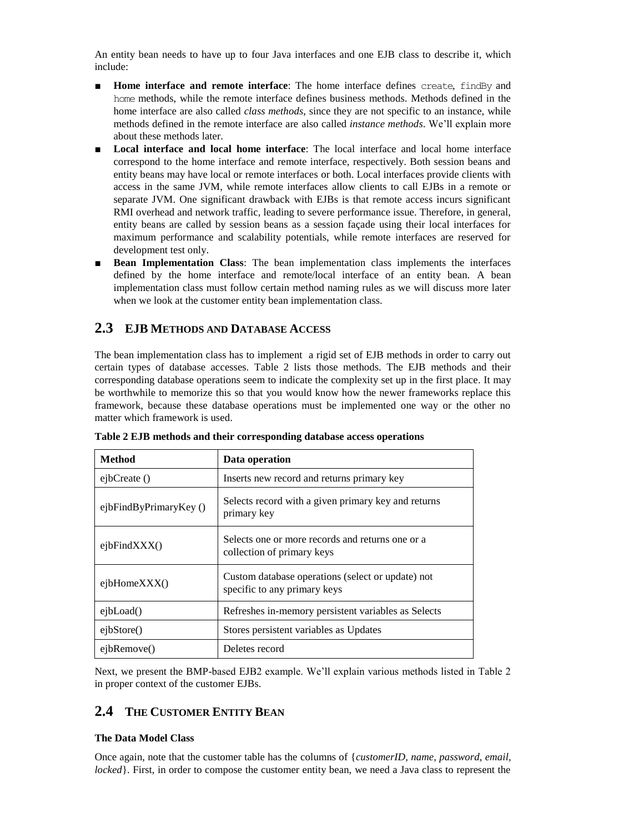An entity bean needs to have up to four Java interfaces and one EJB class to describe it, which include:

- **Home interface and remote interface**: The home interface defines create, findBy and home methods, while the remote interface defines business methods. Methods defined in the home interface are also called *class methods*, since they are not specific to an instance, while methods defined in the remote interface are also called *instance methods*. We'll explain more about these methods later.
- Local interface and local home interface: The local interface and local home interface correspond to the home interface and remote interface, respectively. Both session beans and entity beans may have local or remote interfaces or both. Local interfaces provide clients with access in the same JVM, while remote interfaces allow clients to call EJBs in a remote or separate JVM. One significant drawback with EJBs is that remote access incurs significant RMI overhead and network traffic, leading to severe performance issue. Therefore, in general, entity beans are called by session beans as a session façade using their local interfaces for maximum performance and scalability potentials, while remote interfaces are reserved for development test only.
- **Bean Implementation Class:** The bean implementation class implements the interfaces defined by the home interface and remote/local interface of an entity bean. A bean implementation class must follow certain method naming rules as we will discuss more later when we look at the customer entity bean implementation class.

# **2.3 EJB METHODS AND DATABASE ACCESS**

The bean implementation class has to implement a rigid set of EJB methods in order to carry out certain types of database accesses. Table 2 lists those methods. The EJB methods and their corresponding database operations seem to indicate the complexity set up in the first place. It may be worthwhile to memorize this so that you would know how the newer frameworks replace this framework, because these database operations must be implemented one way or the other no matter which framework is used.

| <b>Method</b>          | Data operation                                                                    |
|------------------------|-----------------------------------------------------------------------------------|
| ejbCreate ()           | Inserts new record and returns primary key                                        |
| ejbFindByPrimaryKey () | Selects record with a given primary key and returns<br>primary key                |
| ejbfFindXXX()          | Selects one or more records and returns one or a<br>collection of primary keys    |
| ejblomeXXX()           | Custom database operations (select or update) not<br>specific to any primary keys |
| ejbload()              | Refreshes in-memory persistent variables as Selects                               |
| eibStore()             | Stores persistent variables as Updates                                            |
| ejbRemove()            | Deletes record                                                                    |

**Table 2 EJB methods and their corresponding database access operations**

Next, we present the BMP-based EJB2 example. We'll explain various methods listed in Table 2 in proper context of the customer EJBs.

# **2.4 THE CUSTOMER ENTITY BEAN**

#### **The Data Model Class**

Once again, note that the customer table has the columns of {*customerID, name, password, email, locked*}. First, in order to compose the customer entity bean, we need a Java class to represent the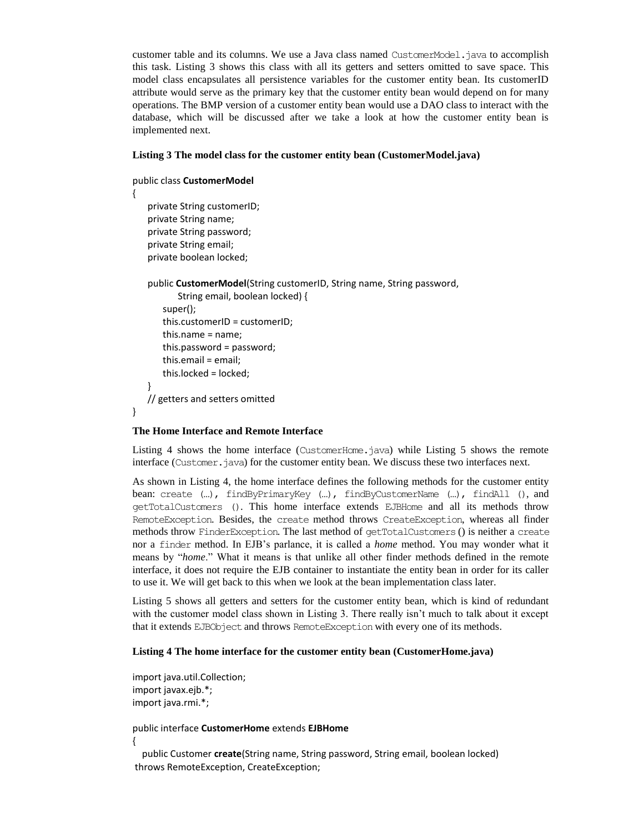customer table and its columns. We use a Java class named CustomerModel.java to accomplish this task. Listing 3 shows this class with all its getters and setters omitted to save space. This model class encapsulates all persistence variables for the customer entity bean. Its customerID attribute would serve as the primary key that the customer entity bean would depend on for many operations. The BMP version of a customer entity bean would use a DAO class to interact with the database, which will be discussed after we take a look at how the customer entity bean is implemented next.

#### **Listing 3 The model class for the customer entity bean (CustomerModel.java)**

```
public class CustomerModel
{
```
private String customerID; private String name; private String password; private String email; private boolean locked;

}

}

public **CustomerModel**(String customerID, String name, String password,

```
String email, boolean locked) {
   super();
    this.customerID = customerID;
   this.name = name;
   this.password = password;
   this.email = email;
   this.locked = locked;
// getters and setters omitted
```
#### **The Home Interface and Remote Interface**

Listing 4 shows the home interface (CustomerHome.java) while Listing 5 shows the remote interface (Customer.java) for the customer entity bean. We discuss these two interfaces next.

As shown in Listing 4, the home interface defines the following methods for the customer entity bean: create (…), findByPrimaryKey (…), findByCustomerName (…), findAll (), and getTotalCustomers (). This home interface extends EJBHome and all its methods throw RemoteException. Besides, the create method throws CreateException, whereas all finder methods throw FinderException. The last method of getTotalCustomers () is neither a create nor a finder method. In EJB's parlance, it is called a *home* method. You may wonder what it means by "*home*." What it means is that unlike all other finder methods defined in the remote interface, it does not require the EJB container to instantiate the entity bean in order for its caller to use it. We will get back to this when we look at the bean implementation class later.

Listing 5 shows all getters and setters for the customer entity bean, which is kind of redundant with the customer model class shown in Listing 3. There really isn't much to talk about it except that it extends EJBObject and throws RemoteException with every one of its methods.

#### **Listing 4 The home interface for the customer entity bean (CustomerHome.java)**

import java.util.Collection; import javax.ejb.\*; import java.rmi.\*;

public interface **CustomerHome** extends **EJBHome** {

 public Customer **create**(String name, String password, String email, boolean locked) throws RemoteException, CreateException;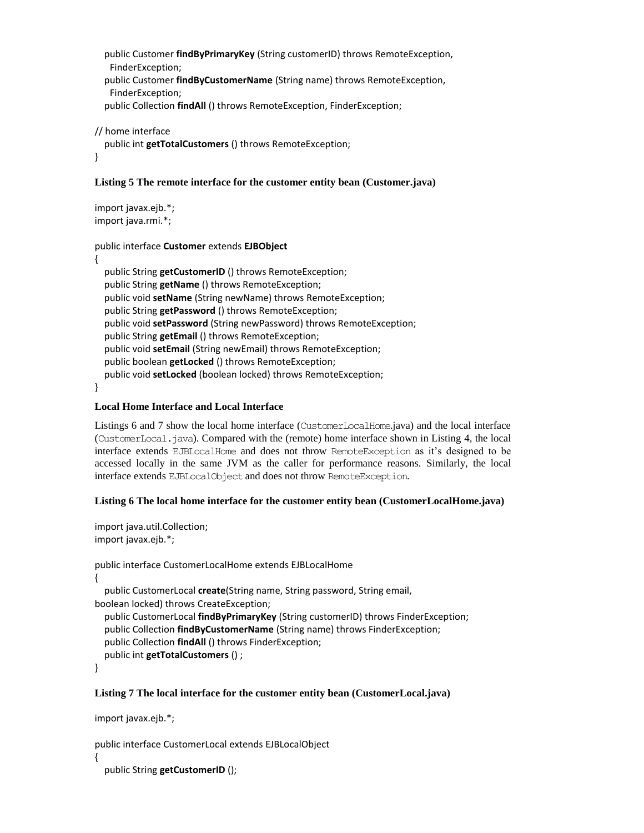```
 public Customer findByPrimaryKey (String customerID) throws RemoteException, 
 FinderException;
 public Customer findByCustomerName (String name) throws RemoteException, 
 FinderException;
 public Collection findAll () throws RemoteException, FinderException;
```

```
// home interface
   public int getTotalCustomers () throws RemoteException;
}
```
#### **Listing 5 The remote interface for the customer entity bean (Customer.java)**

import javax.ejb.\*; import java.rmi.\*;

```
public interface Customer extends EJBObject
```

```
{
```
 public String **getCustomerID** () throws RemoteException; public String **getName** () throws RemoteException; public void **setName** (String newName) throws RemoteException; public String **getPassword** () throws RemoteException; public void **setPassword** (String newPassword) throws RemoteException; public String **getEmail** () throws RemoteException; public void **setEmail** (String newEmail) throws RemoteException; public boolean **getLocked** () throws RemoteException; public void **setLocked** (boolean locked) throws RemoteException;

}

### **Local Home Interface and Local Interface**

Listings 6 and 7 show the local home interface (CustomerLocalHome.java) and the local interface (CustomerLocal.java). Compared with the (remote) home interface shown in Listing 4, the local interface extends EJBLocalHome and does not throw RemoteException as it's designed to be accessed locally in the same JVM as the caller for performance reasons. Similarly, the local interface extends EJBLocalObject and does not throw RemoteException.

### **Listing 6 The local home interface for the customer entity bean (CustomerLocalHome.java)**

import java.util.Collection; import javax.ejb.\*;

```
public interface CustomerLocalHome extends EJBLocalHome
{
   public CustomerLocal create(String name, String password, String email, 
boolean locked) throws CreateException;
   public CustomerLocal findByPrimaryKey (String customerID) throws FinderException;
   public Collection findByCustomerName (String name) throws FinderException;
   public Collection findAll () throws FinderException;
   public int getTotalCustomers () ;
```
}

{

#### **Listing 7 The local interface for the customer entity bean (CustomerLocal.java)**

```
import javax.ejb.*;
```

```
public interface CustomerLocal extends EJBLocalObject
```

```
 public String getCustomerID ();
```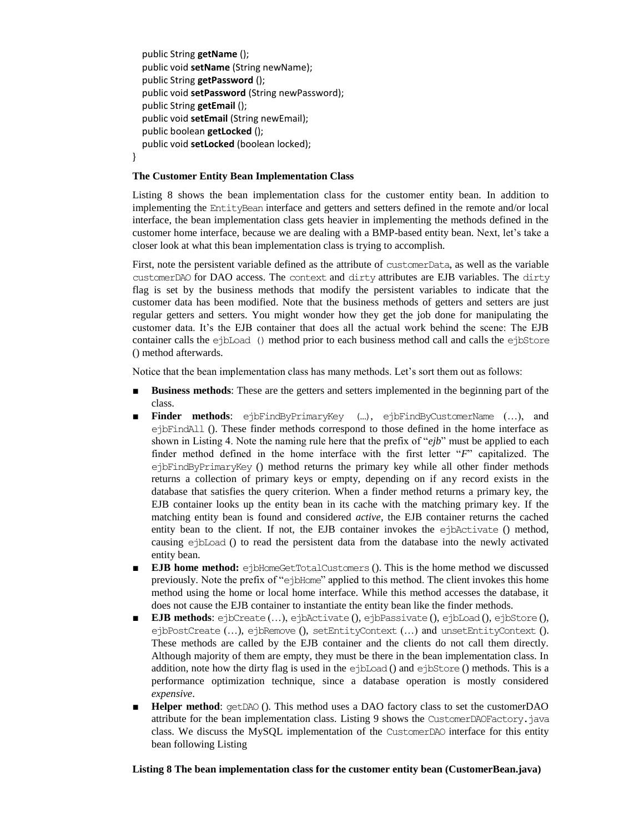```
 public String getName ();
   public void setName (String newName);
   public String getPassword ();
   public void setPassword (String newPassword);
   public String getEmail ();
   public void setEmail (String newEmail);
   public boolean getLocked ();
   public void setLocked (boolean locked);
}
```
#### **The Customer Entity Bean Implementation Class**

Listing 8 shows the bean implementation class for the customer entity bean. In addition to implementing the EntityBean interface and getters and setters defined in the remote and/or local interface, the bean implementation class gets heavier in implementing the methods defined in the customer home interface, because we are dealing with a BMP-based entity bean. Next, let's take a closer look at what this bean implementation class is trying to accomplish.

First, note the persistent variable defined as the attribute of customerData, as well as the variable customerDAO for DAO access. The context and dirty attributes are EJB variables. The dirty flag is set by the business methods that modify the persistent variables to indicate that the customer data has been modified. Note that the business methods of getters and setters are just regular getters and setters. You might wonder how they get the job done for manipulating the customer data. It's the EJB container that does all the actual work behind the scene: The EJB container calls the ejbLoad () method prior to each business method call and calls the ejbStore () method afterwards.

Notice that the bean implementation class has many methods. Let's sort them out as follows:

- **Business methods**: These are the getters and setters implemented in the beginning part of the class.
- **Finder methods**: ejbFindByPrimaryKey (…), ejbFindByCustomerName (…), and ejbFindAll (). These finder methods correspond to those defined in the home interface as shown in Listing 4. Note the naming rule here that the prefix of "*ejb*" must be applied to each finder method defined in the home interface with the first letter "*F*" capitalized. The ejbFindByPrimaryKey () method returns the primary key while all other finder methods returns a collection of primary keys or empty, depending on if any record exists in the database that satisfies the query criterion. When a finder method returns a primary key, the EJB container looks up the entity bean in its cache with the matching primary key. If the matching entity bean is found and considered *active*, the EJB container returns the cached entity bean to the client. If not, the EJB container invokes the ejbActivate () method, causing ejbLoad () to read the persistent data from the database into the newly activated entity bean.
- **EJB home method:** ejbHomeGetTotalCustomers (). This is the home method we discussed previously. Note the prefix of "ejbHome" applied to this method. The client invokes this home method using the home or local home interface. While this method accesses the database, it does not cause the EJB container to instantiate the entity bean like the finder methods.
- **EJB methods**: ejbCreate (...), ejbActivate (), ejbPassivate (), ejbLoad (), ejbStore (), ejbPostCreate (…), ejbRemove (), setEntityContext (…) and unsetEntityContext (). These methods are called by the EJB container and the clients do not call them directly. Although majority of them are empty, they must be there in the bean implementation class. In addition, note how the dirty flag is used in the ejbLoad () and ejbStore () methods. This is a performance optimization technique, since a database operation is mostly considered *expensive*.
- **Helper method**: getDAO (). This method uses a DAO factory class to set the customerDAO attribute for the bean implementation class. Listing 9 shows the CustomerDAOFactory.java class. We discuss the MySQL implementation of the CustomerDAO interface for this entity bean following Listing

#### **Listing 8 The bean implementation class for the customer entity bean (CustomerBean.java)**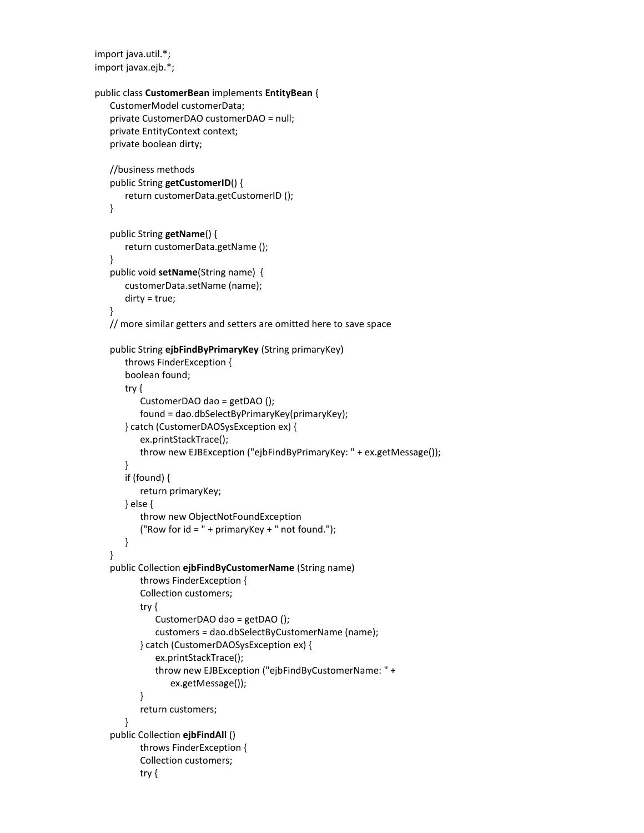import java.util.\*; import javax.ejb.\*;

```
public class CustomerBean implements EntityBean {
   CustomerModel customerData;
   private CustomerDAO customerDAO = null;
   private EntityContext context;
   private boolean dirty;
   //business methods
   public String getCustomerID() {
      return customerData.getCustomerID ();
   }
   public String getName() {
      return customerData.getName ();
   }
   public void setName(String name) {
      customerData.setName (name);
      dirty = true;
   }
   // more similar getters and setters are omitted here to save space 
   public String ejbFindByPrimaryKey (String primaryKey) 
      throws FinderException {
      boolean found;
      try {
          CustomerDAO dao = getDAO ();
          found = dao.dbSelectByPrimaryKey(primaryKey);
      } catch (CustomerDAOSysException ex) {
          ex.printStackTrace();
          throw new EJBException ("ejbFindByPrimaryKey: " + ex.getMessage());
      }
      if (found) {
          return primaryKey;
      } else {
          throw new ObjectNotFoundException
          ("Row for id = " + primaryKey + " not found.");
      }
   }
   public Collection ejbFindByCustomerName (String name) 
          throws FinderException {
          Collection customers;
          try {
             CustomerDAO dao = getDAO ();
             customers = dao.dbSelectByCustomerName (name);
          } catch (CustomerDAOSysException ex) {
             ex.printStackTrace();
             throw new EJBException ("ejbFindByCustomerName: " + 
                 ex.getMessage());
          }
          return customers;
      }
   public Collection ejbFindAll () 
          throws FinderException {
          Collection customers;
          try {
```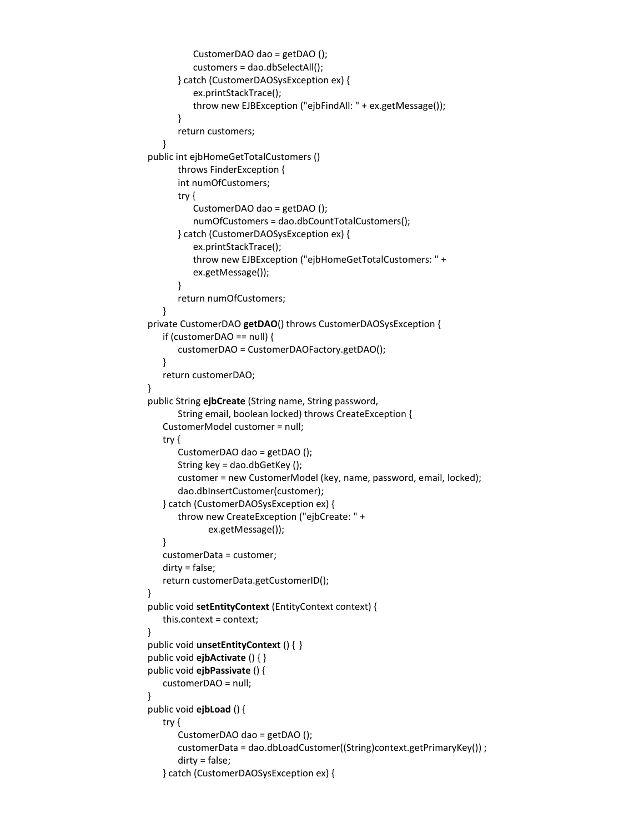```
CustomerDAO dao = getDAO ();
          customers = dao.dbSelectAll();
      } catch (CustomerDAOSysException ex) {
          ex.printStackTrace();
          throw new EJBException ("ejbFindAll: " + ex.getMessage());
      }
      return customers;
   }
public int ejbHomeGetTotalCustomers () 
      throws FinderException {
      int numOfCustomers;
      try {
          CustomerDAO dao = getDAO ();
          numOfCustomers = dao.dbCountTotalCustomers();
      } catch (CustomerDAOSysException ex) {
          ex.printStackTrace();
          throw new EJBException ("ejbHomeGetTotalCustomers: " + 
          ex.getMessage());
      }
      return numOfCustomers;
   }
private CustomerDAO getDAO() throws CustomerDAOSysException {
   if (customerDAO == null) {
       customerDAO = CustomerDAOFactory.getDAO();
   }
   return customerDAO;
}
public String ejbCreate (String name, String password,
       String email, boolean locked) throws CreateException {
   CustomerModel customer = null;
   try {
       CustomerDAO dao = getDAO ();
       String key = dao.dbGetKey ();
       customer = new CustomerModel (key, name, password, email, locked);
       dao.dbInsertCustomer(customer);
   } catch (CustomerDAOSysException ex) {
      throw new CreateException ("ejbCreate: " +
             ex.getMessage());
   }
   customerData = customer;
   dirty = false;
   return customerData.getCustomerID();
}
public void setEntityContext (EntityContext context) {
   this.context = context;
}
public void unsetEntityContext () { }
public void ejbActivate () { }
public void ejbPassivate () {
   customerDAO = null;
}
public void ejbLoad () {
   try {
       CustomerDAO dao = getDAO ();
       customerData = dao.dbLoadCustomer((String)context.getPrimaryKey()) ;
       dirty = false;
   } catch (CustomerDAOSysException ex) {
```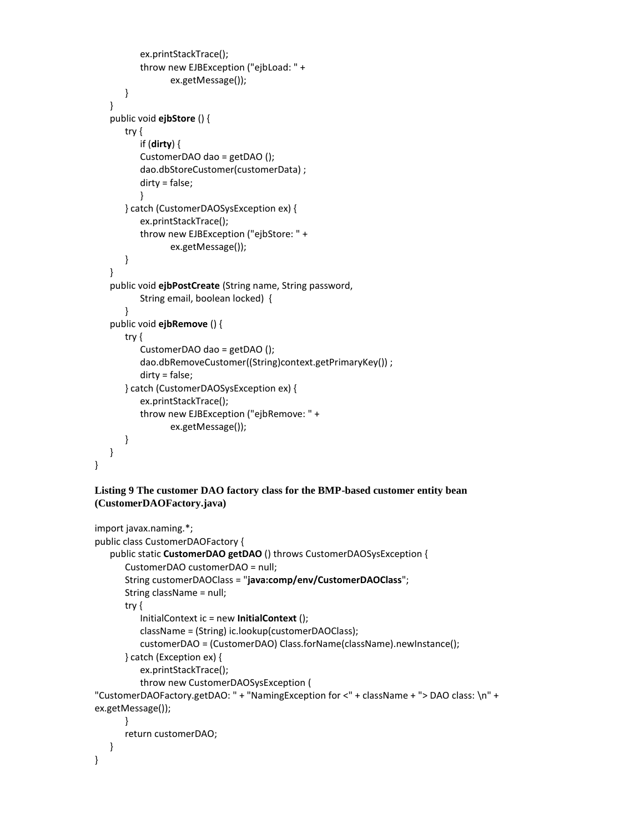```
ex.printStackTrace();
       throw new EJBException ("ejbLoad: " +
              ex.getMessage());
   }
}
public void ejbStore () {
   try {
      if (dirty) {
       CustomerDAO dao = getDAO ();
       dao.dbStoreCustomer(customerData) ;
       dirty = false;
      }
   } catch (CustomerDAOSysException ex) {
       ex.printStackTrace();
      throw new EJBException ("ejbStore: " +
              ex.getMessage());
   }
}
public void ejbPostCreate (String name, String password,
      String email, boolean locked) {
   }
public void ejbRemove () {
   try {
       CustomerDAO dao = getDAO ();
       dao.dbRemoveCustomer((String)context.getPrimaryKey()) ;
       dirty = false;
   } catch (CustomerDAOSysException ex) {
       ex.printStackTrace();
       throw new EJBException ("ejbRemove: " +
              ex.getMessage());
   }
}
```
#### **Listing 9 The customer DAO factory class for the BMP-based customer entity bean (CustomerDAOFactory.java)**

}

```
import javax.naming.*;
public class CustomerDAOFactory {
   public static CustomerDAO getDAO () throws CustomerDAOSysException {
      CustomerDAO customerDAO = null;
      String customerDAOClass = "java:comp/env/CustomerDAOClass";
      String className = null;
      try {
          InitialContext ic = new InitialContext ();
          className = (String) ic.lookup(customerDAOClass);
          customerDAO = (CustomerDAO) Class.forName(className).newInstance();
      } catch (Exception ex) {
          ex.printStackTrace();
          throw new CustomerDAOSysException (
"CustomerDAOFactory.getDAO: " + "NamingException for <" + className + "> DAO class: \n" + 
ex.getMessage());
      }
      return customerDAO;
   }
}
```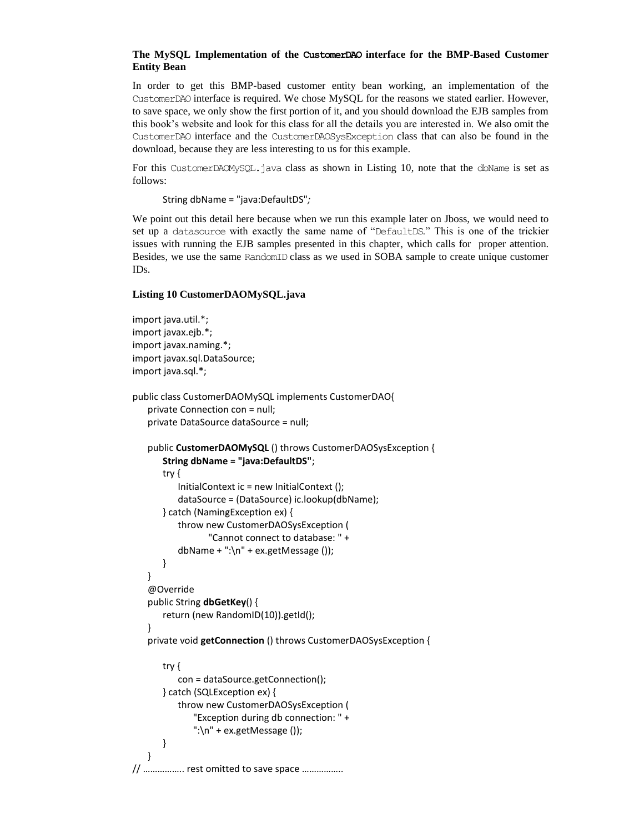#### **The MySQL Implementation of the CustomerDAO interface for the BMP-Based Customer Entity Bean**

In order to get this BMP-based customer entity bean working, an implementation of the CustomerDAO interface is required. We chose MySQL for the reasons we stated earlier. However, to save space, we only show the first portion of it, and you should download the EJB samples from this book's website and look for this class for all the details you are interested in. We also omit the CustomerDAO interface and the CustomerDAOSysException class that can also be found in the download, because they are less interesting to us for this example.

For this CustomerDAOMySQL.java class as shown in Listing 10, note that the dbName is set as follows:

String dbName = "java:DefaultDS"*;*

We point out this detail here because when we run this example later on Jboss, we would need to set up a datasource with exactly the same name of "DefaultDS." This is one of the trickier issues with running the EJB samples presented in this chapter, which calls for proper attention. Besides, we use the same RandomID class as we used in SOBA sample to create unique customer IDs.

#### **Listing 10 CustomerDAOMySQL.java**

```
import java.util.*;
import javax.ejb.*;
import javax.naming.*;
import javax.sql.DataSource;
import java.sql.*;
public class CustomerDAOMySQL implements CustomerDAO{
   private Connection con = null;
   private DataSource dataSource = null;
   public CustomerDAOMySQL () throws CustomerDAOSysException {
       String dbName = "java:DefaultDS";
       try {
          InitialContext ic = new InitialContext ();
          dataSource = (DataSource) ic.lookup(dbName);
       } catch (NamingException ex) {
          throw new CustomerDAOSysException (
                 "Cannot connect to database: " +
          dbName + ":\langle n'' + ex.getMessage() \rangle;
      }
   }
   @Override
   public String dbGetKey() {
       return (new RandomID(10)).getId();
   }
   private void getConnection () throws CustomerDAOSysException {
       try {
          con = dataSource.getConnection();
       } catch (SQLException ex) {
          throw new CustomerDAOSysException (
              "Exception during db connection: " +
              ":\n\ln" + ex.getMessage();
       }
   }
// …………….. rest omitted to save space ……………..
```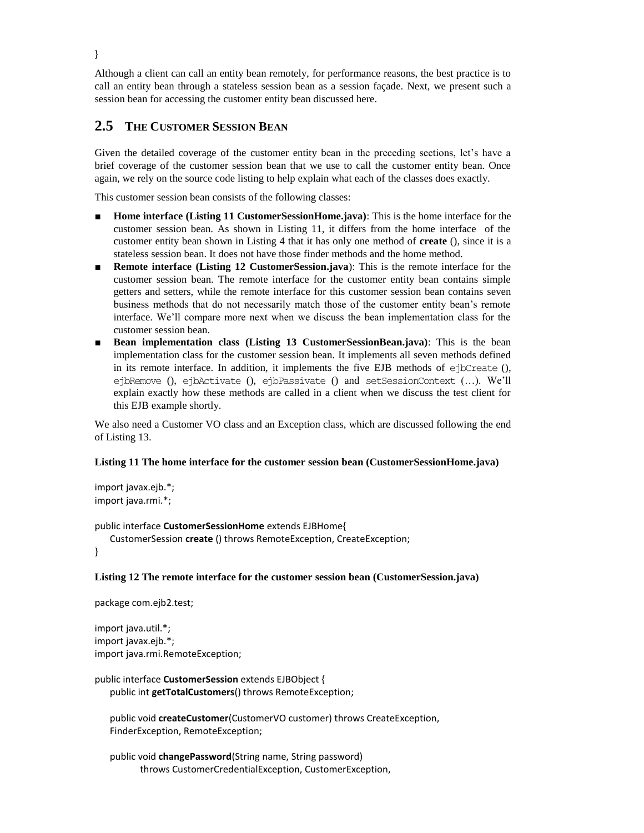Although a client can call an entity bean remotely, for performance reasons, the best practice is to call an entity bean through a stateless session bean as a session façade. Next, we present such a session bean for accessing the customer entity bean discussed here.

# **2.5 THE CUSTOMER SESSION BEAN**

Given the detailed coverage of the customer entity bean in the preceding sections, let's have a brief coverage of the customer session bean that we use to call the customer entity bean. Once again, we rely on the source code listing to help explain what each of the classes does exactly.

This customer session bean consists of the following classes:

- **Home interface (Listing 11 CustomerSessionHome.java)**: This is the home interface for the customer session bean. As shown in Listing 11, it differs from the home interface of the customer entity bean shown in Listing 4 that it has only one method of **create** (), since it is a stateless session bean. It does not have those finder methods and the home method.
- **Remote interface (Listing 12 CustomerSession.java)**: This is the remote interface for the customer session bean. The remote interface for the customer entity bean contains simple getters and setters, while the remote interface for this customer session bean contains seven business methods that do not necessarily match those of the customer entity bean's remote interface. We'll compare more next when we discuss the bean implementation class for the customer session bean.
- **Bean implementation class (Listing 13 CustomerSessionBean.java)**: This is the bean implementation class for the customer session bean. It implements all seven methods defined in its remote interface. In addition, it implements the five EJB methods of  $e^i$   $\beta$ Create (), ejbRemove (), ejbActivate (), ejbPassivate () and setSessionContext (…). We'll explain exactly how these methods are called in a client when we discuss the test client for this EJB example shortly.

We also need a Customer VO class and an Exception class, which are discussed following the end of Listing 13.

#### **Listing 11 The home interface for the customer session bean (CustomerSessionHome.java)**

import javax.ejb.\*; import java.rmi.\*;

#### public interface **CustomerSessionHome** extends EJBHome{

```
CustomerSession create () throws RemoteException, CreateException;
```
}

### **Listing 12 The remote interface for the customer session bean (CustomerSession.java)**

package com.ejb2.test;

import java.util.\*; import javax.ejb.\*; import java.rmi.RemoteException;

#### public interface **CustomerSession** extends EJBObject { public int **getTotalCustomers**() throws RemoteException;

public void **createCustomer**(CustomerVO customer) throws CreateException, FinderException, RemoteException;

public void **changePassword**(String name, String password) throws CustomerCredentialException, CustomerException,

}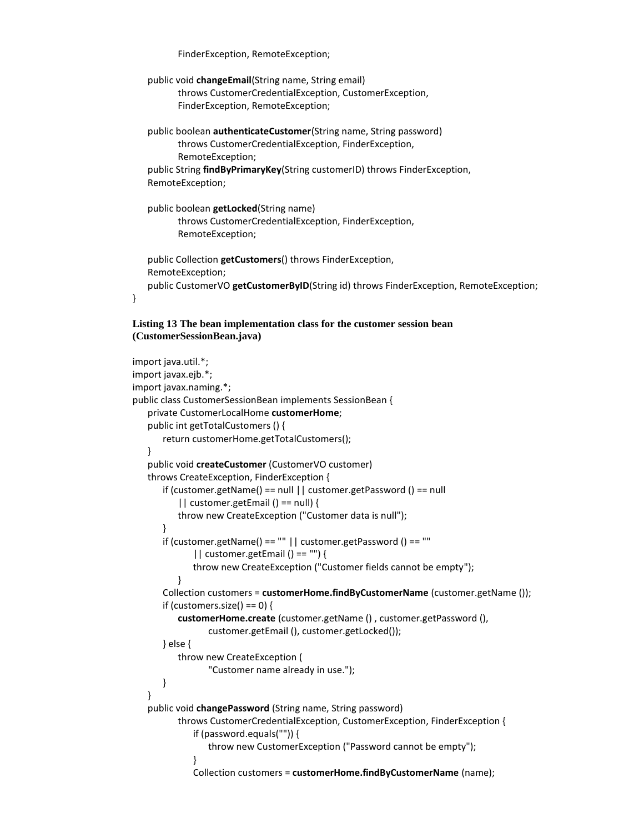FinderException, RemoteException;

```
public void changeEmail(String name, String email)
      throws CustomerCredentialException, CustomerException,
      FinderException, RemoteException;
public boolean authenticateCustomer(String name, String password)
      throws CustomerCredentialException, FinderException, 
      RemoteException;
public String findByPrimaryKey(String customerID) throws FinderException,
RemoteException;
public boolean getLocked(String name)
      throws CustomerCredentialException, FinderException,
      RemoteException;
public Collection getCustomers() throws FinderException,
RemoteException;
public CustomerVO getCustomerByID(String id) throws FinderException, RemoteException;
```
#### **Listing 13 The bean implementation class for the customer session bean (CustomerSessionBean.java)**

}

```
import java.util.*;
import javax.ejb.*;
import javax.naming.*;
public class CustomerSessionBean implements SessionBean {
   private CustomerLocalHome customerHome;
   public int getTotalCustomers () {
       return customerHome.getTotalCustomers();
   }
   public void createCustomer (CustomerVO customer)
   throws CreateException, FinderException {
      if (customer.getName() == null || customer.getPassword () == null
          || customer.getEmail () == null) {
          throw new CreateException ("Customer data is null");
      }
      if (customer.getName() == "" | \cdot | customer.getPassword () == ""
             || customer.getEmail () == "") {
             throw new CreateException ("Customer fields cannot be empty");
          }
      Collection customers = customerHome.findByCustomerName (customer.getName ());
      if (customers.size() == 0) {
          customerHome.create (customer.getName () , customer.getPassword (),
                 customer.getEmail (), customer.getLocked());
      } else {
          throw new CreateException (
                 "Customer name already in use.");
      }
   }
   public void changePassword (String name, String password)
          throws CustomerCredentialException, CustomerException, FinderException {
             if (password.equals("")) {
                 throw new CustomerException ("Password cannot be empty");
             }
             Collection customers = customerHome.findByCustomerName (name);
```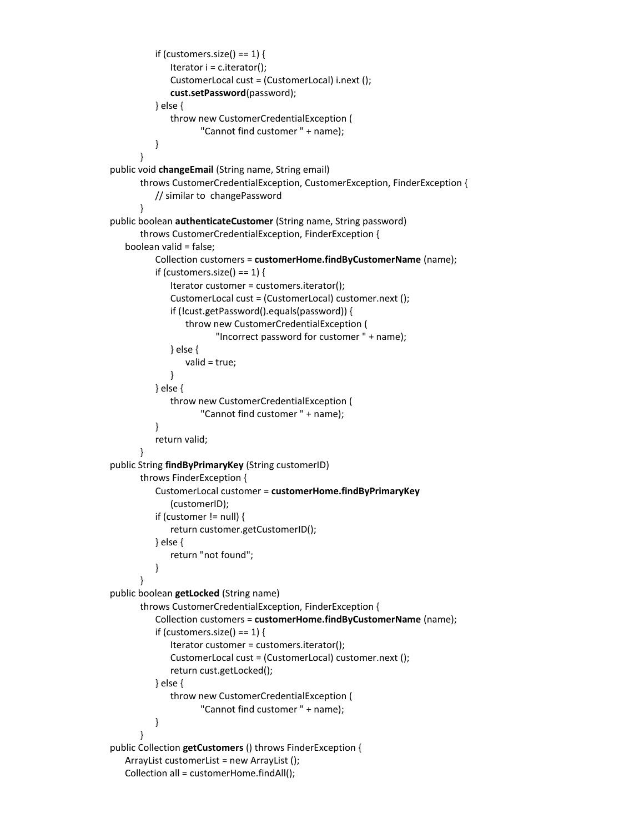```
if (customers.size() == 1) {
             Iterator i = c. iterator();
             CustomerLocal cust = (CustomerLocal) i.next ();
             cust.setPassword(password);
          } else {
             throw new CustomerCredentialException (
                    "Cannot find customer " + name);
          }
      }
public void changeEmail (String name, String email)
      throws CustomerCredentialException, CustomerException, FinderException {
          // similar to changePassword
      }
public boolean authenticateCustomer (String name, String password)
      throws CustomerCredentialException, FinderException {
   boolean valid = false;
          Collection customers = customerHome.findByCustomerName (name);
          if (customers.size() == 1) {
             Iterator customer = customers.iterator();
             CustomerLocal cust = (CustomerLocal) customer.next ();
             if (!cust.getPassword().equals(password)) {
                 throw new CustomerCredentialException (
                        "Incorrect password for customer " + name);
             } else {
                 valid = true;
             }
          } else {
             throw new CustomerCredentialException (
                    "Cannot find customer " + name);
          }
          return valid;
      }
public String findByPrimaryKey (String customerID)
      throws FinderException {
          CustomerLocal customer = customerHome.findByPrimaryKey
             (customerID);
          if (customer != null) {
             return customer.getCustomerID();
          } else {
             return "not found";
          }
      }
public boolean getLocked (String name)
      throws CustomerCredentialException, FinderException {
          Collection customers = customerHome.findByCustomerName (name);
          if (customers.size() == 1) {
             Iterator customer = customers.iterator();
             CustomerLocal cust = (CustomerLocal) customer.next ();
             return cust.getLocked();
          } else {
             throw new CustomerCredentialException (
                    "Cannot find customer " + name);
          }
      }
public Collection getCustomers () throws FinderException {
   ArrayList customerList = new ArrayList ();
   Collection all = customerHome.findAll();
```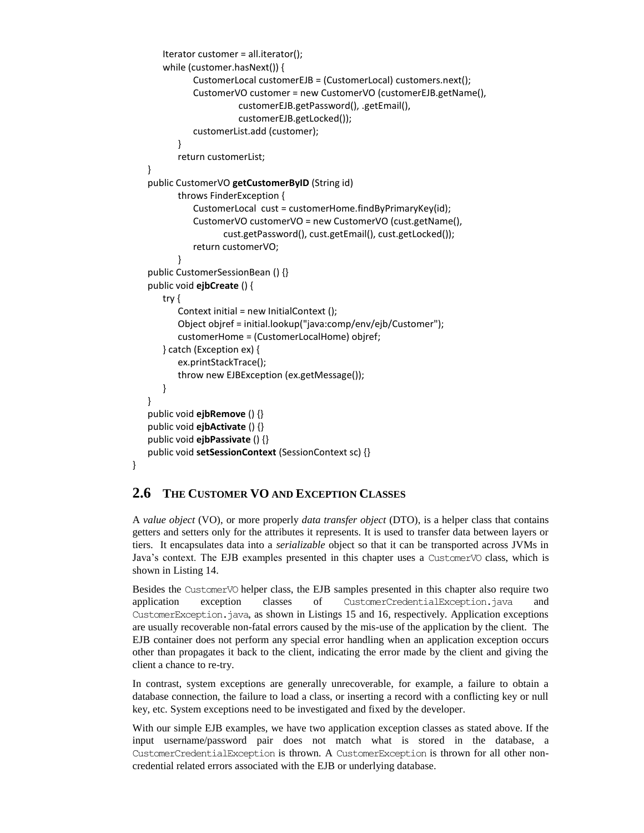```
Iterator customer = all.iterator();
   while (customer.hasNext()) {
          CustomerLocal customerEJB = (CustomerLocal) customers.next();
          CustomerVO customer = new CustomerVO (customerEJB.getName(),
                     customerEJB.getPassword(), .getEmail(),
                     customerEJB.getLocked());
          customerList.add (customer);
       }
       return customerList;
}
public CustomerVO getCustomerByID (String id)
       throws FinderException {
          CustomerLocal cust = customerHome.findByPrimaryKey(id);
          CustomerVO customerVO = new CustomerVO (cust.getName(),
                 cust.getPassword(), cust.getEmail(), cust.getLocked());
          return customerVO;
       }
public CustomerSessionBean () {}
public void ejbCreate () {
   try {
       Context initial = new InitialContext ();
       Object objref = initial.lookup("java:comp/env/ejb/Customer");
       customerHome = (CustomerLocalHome) objref;
   } catch (Exception ex) {
       ex.printStackTrace();
       throw new EJBException (ex.getMessage());
   }
}
public void ejbRemove () {}
public void ejbActivate () {}
public void ejbPassivate () {}
public void setSessionContext (SessionContext sc) {}
```
# **2.6 THE CUSTOMER VO AND EXCEPTION CLASSES**

}

A *value object* (VO), or more properly *data transfer object* (DTO), is a helper class that contains getters and setters only for the attributes it represents. It is used to transfer data between layers or tiers. It encapsulates data into a *serializable* object so that it can be transported across JVMs in Java's context. The EJB examples presented in this chapter uses a Customer VO class, which is shown in Listing 14.

Besides the CustomerVO helper class, the EJB samples presented in this chapter also require two application exception classes of CustomerCredentialException.java and CustomerException.java, as shown in Listings 15 and 16, respectively. Application exceptions are usually recoverable non-fatal errors caused by the mis-use of the application by the client. The EJB container does not perform any special error handling when an application exception occurs other than propagates it back to the client, indicating the error made by the client and giving the client a chance to re-try.

In contrast, system exceptions are generally unrecoverable, for example, a failure to obtain a database connection, the failure to load a class, or inserting a record with a conflicting key or null key, etc. System exceptions need to be investigated and fixed by the developer.

With our simple EJB examples, we have two application exception classes as stated above. If the input username/password pair does not match what is stored in the database, a CustomerCredentialException is thrown. A CustomerException is thrown for all other noncredential related errors associated with the EJB or underlying database.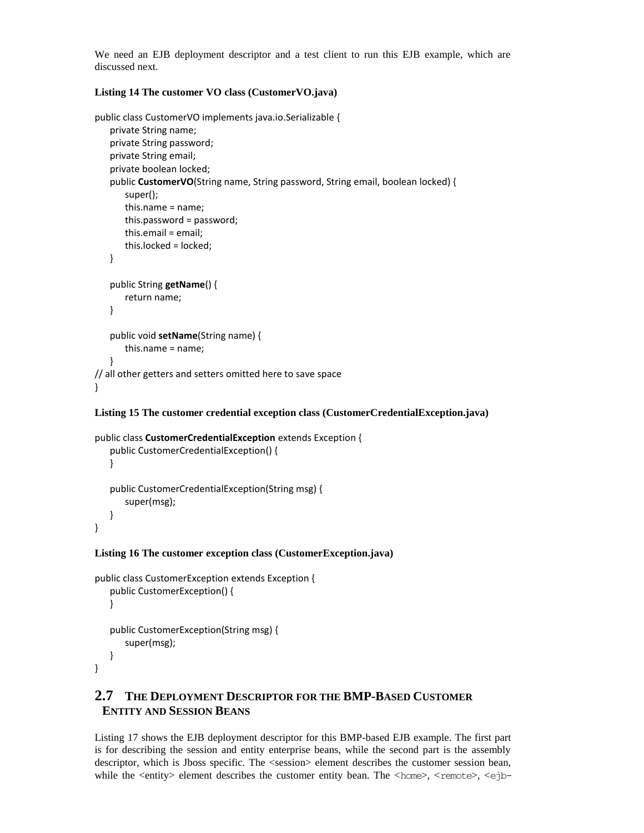We need an EJB deployment descriptor and a test client to run this EJB example, which are discussed next.

#### **Listing 14 The customer VO class (CustomerVO.java)**

```
public class CustomerVO implements java.io.Serializable {
   private String name;
   private String password;
   private String email;
   private boolean locked;
   public CustomerVO(String name, String password, String email, boolean locked) {
       super();
       this.name = name;
       this.password = password;
       this.email = email;
       this.locked = locked;
   }
   public String getName() {
       return name;
   }
   public void setName(String name) {
       this.name = name;
   }
// all other getters and setters omitted here to save space
}
```
#### **Listing 15 The customer credential exception class (CustomerCredentialException.java)**

```
public class CustomerCredentialException extends Exception {
   public CustomerCredentialException() {
   }
   public CustomerCredentialException(String msg) {
       super(msg);
   }
}
```
#### **Listing 16 The customer exception class (CustomerException.java)**

```
public class CustomerException extends Exception {
   public CustomerException() {
   }
   public CustomerException(String msg) {
       super(msg);
   }
}
```
# **2.7 THE DEPLOYMENT DESCRIPTOR FOR THE BMP-BASED CUSTOMER ENTITY AND SESSION BEANS**

Listing 17 shows the EJB deployment descriptor for this BMP-based EJB example. The first part is for describing the session and entity enterprise beans, while the second part is the assembly descriptor, which is Jboss specific. The <session> element describes the customer session bean, while the <entity> element describes the customer entity bean. The <home>, <remote>, <ejb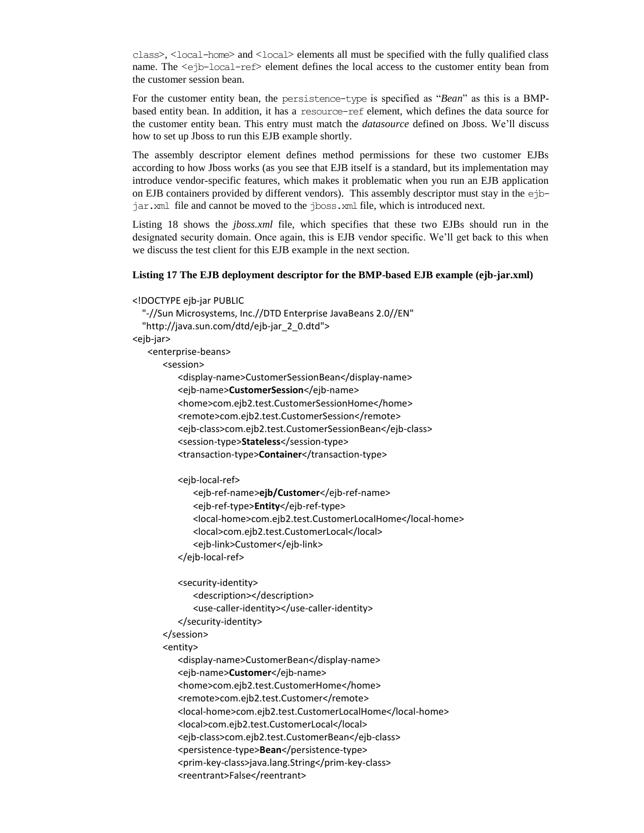class>, <local-home> and <local> elements all must be specified with the fully qualified class name. The <ejb-local-ref> element defines the local access to the customer entity bean from the customer session bean.

For the customer entity bean, the persistence-type is specified as "*Bean*" as this is a BMPbased entity bean. In addition, it has a resource-ref element, which defines the data source for the customer entity bean. This entry must match the *datasource* defined on Jboss. We'll discuss how to set up Jboss to run this EJB example shortly.

The assembly descriptor element defines method permissions for these two customer EJBs according to how Jboss works (as you see that EJB itself is a standard, but its implementation may introduce vendor-specific features, which makes it problematic when you run an EJB application on EJB containers provided by different vendors). This assembly descriptor must stay in the ejbjar.xml file and cannot be moved to the jboss.xml file, which is introduced next.

Listing 18 shows the *jboss.xml* file, which specifies that these two EJBs should run in the designated security domain. Once again, this is EJB vendor specific. We'll get back to this when we discuss the test client for this EJB example in the next section.

#### **Listing 17 The EJB deployment descriptor for the BMP-based EJB example (ejb-jar.xml)**

```
<!DOCTYPE ejb-jar PUBLIC
  "-//Sun Microsystems, Inc.//DTD Enterprise JavaBeans 2.0//EN"
  "http://java.sun.com/dtd/ejb-jar_2_0.dtd">
<ejb-jar>
   <enterprise-beans>
      <session>
          <display-name>CustomerSessionBean</display-name>
          <ejb-name>CustomerSession</ejb-name>
          <home>com.ejb2.test.CustomerSessionHome</home>
          <remote>com.ejb2.test.CustomerSession</remote>
          <ejb-class>com.ejb2.test.CustomerSessionBean</ejb-class>
          <session-type>Stateless</session-type>
          <transaction-type>Container</transaction-type>
          <ejb-local-ref>
             <ejb-ref-name>ejb/Customer</ejb-ref-name>
             <ejb-ref-type>Entity</ejb-ref-type>
             <local-home>com.ejb2.test.CustomerLocalHome</local-home>
             <local>com.ejb2.test.CustomerLocal</local>
             <ejb-link>Customer</ejb-link>
          </ejb-local-ref>
         <security-identity>
             <description></description>
             <use-caller-identity></use-caller-identity>
         </security-identity>
      </session>
      <entity>
          <display-name>CustomerBean</display-name>
          <ejb-name>Customer</ejb-name>
          <home>com.ejb2.test.CustomerHome</home>
          <remote>com.ejb2.test.Customer</remote>
          <local-home>com.ejb2.test.CustomerLocalHome</local-home>
          <local>com.ejb2.test.CustomerLocal</local>
          <ejb-class>com.ejb2.test.CustomerBean</ejb-class>
          <persistence-type>Bean</persistence-type>
          <prim-key-class>java.lang.String</prim-key-class>
          <reentrant>False</reentrant>
```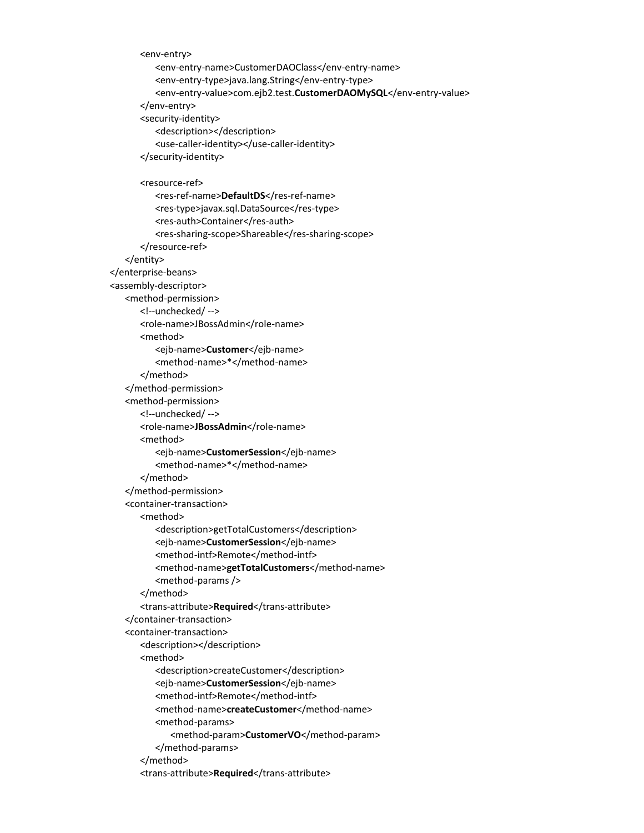<env-entry> <env-entry-name>CustomerDAOClass</env-entry-name> <env-entry-type>java.lang.String</env-entry-type> <env-entry-value>com.ejb2.test.**CustomerDAOMySQL**</env-entry-value> </env-entry> <security-identity> <description></description> <use-caller-identity></use-caller-identity> </security-identity> <resource-ref> <res-ref-name>**DefaultDS**</res-ref-name> <res-type>javax.sql.DataSource</res-type> <res-auth>Container</res-auth> <res-sharing-scope>Shareable</res-sharing-scope> </resource-ref> </entity> </enterprise-beans> <assembly-descriptor> <method-permission> <!--unchecked/ --> <role-name>JBossAdmin</role-name> <method> <ejb-name>**Customer**</ejb-name> <method-name>\*</method-name> </method> </method-permission> <method-permission> <!--unchecked/ --> <role-name>JBossAdmin</role-name> <method> <ejb-name>**CustomerSession**</ejb-name> <method-name>\*</method-name> </method> </method-permission> <container-transaction> <method> <description>getTotalCustomers</description> <ejb-name>**CustomerSession**</ejb-name> <method-intf>Remote</method-intf> <method-name>**getTotalCustomers**</method-name> <method-params /> </method> <trans-attribute>**Required**</trans-attribute> </container-transaction> <container-transaction> <description></description> <method> <description>createCustomer</description> <ejb-name>**CustomerSession**</ejb-name> <method-intf>Remote</method-intf> <method-name>**createCustomer**</method-name> <method-params> <method-param>**CustomerVO**</method-param> </method-params> </method> <trans-attribute>**Required**</trans-attribute>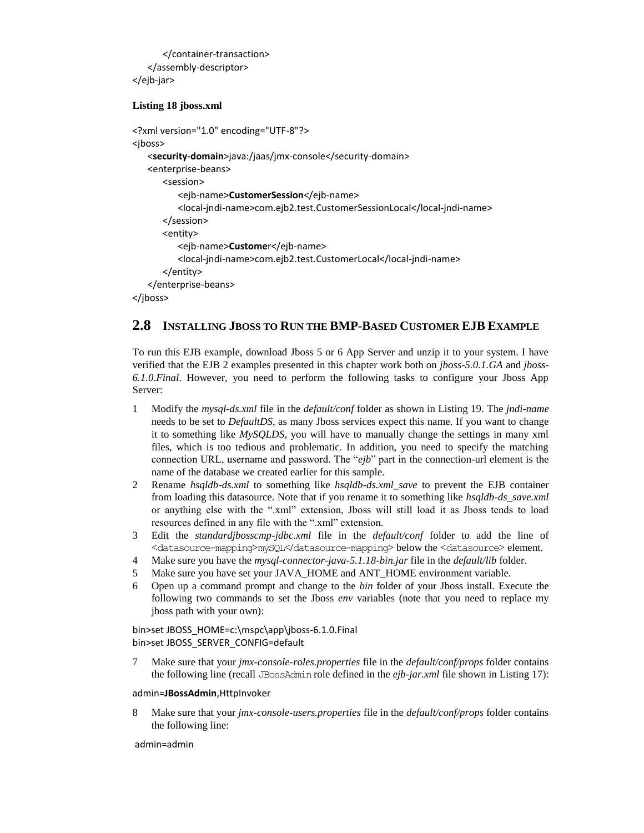</container-transaction> </assembly-descriptor> </ejb-jar>

#### **Listing 18 jboss.xml**

```
<?xml version="1.0" encoding="UTF-8"?>
<jboss>
   <security-domain>java:/jaas/jmx-console</security-domain>
   <enterprise-beans>
      <session>
          <ejb-name>CustomerSession</ejb-name>
          <local-jndi-name>com.ejb2.test.CustomerSessionLocal</local-jndi-name>
      </session>
      <entity>
         <ejb-name>Customer</ejb-name>
         <local-jndi-name>com.ejb2.test.CustomerLocal</local-jndi-name>
      </entity>
   </enterprise-beans>
</jboss>
```
## **2.8 INSTALLING JBOSS TO RUN THE BMP-BASED CUSTOMER EJB EXAMPLE**

To run this EJB example, download Jboss 5 or 6 App Server and unzip it to your system. I have verified that the EJB 2 examples presented in this chapter work both on *jboss-5.0.1.GA* and *jboss-6.1.0.Final*. However, you need to perform the following tasks to configure your Jboss App Server:

- 1 Modify the *mysql-ds.xml* file in the *default/conf* folder as shown in Listing 19. The *jndi-name* needs to be set to *DefaultDS*, as many Jboss services expect this name. If you want to change it to something like *MySQLDS*, you will have to manually change the settings in many xml files, which is too tedious and problematic. In addition, you need to specify the matching connection URL, username and password. The "*ejb*" part in the connection-url element is the name of the database we created earlier for this sample.
- 2 Rename *hsqldb-ds.xml* to something like *hsqldb-ds.xml\_save* to prevent the EJB container from loading this datasource. Note that if you rename it to something like *hsqldb-ds\_save.xml* or anything else with the ".xml" extension, Jboss will still load it as Jboss tends to load resources defined in any file with the ".xml" extension.
- 3 Edit the *standardjbosscmp-jdbc.xml* file in the *default/conf* folder to add the line of <datasource-mapping>mySQL</datasource-mapping> below the <datasource> element.
- 4 Make sure you have the *mysql-connector-java-5.1.18-bin.jar* file in the *default/lib* folder.
- 5 Make sure you have set your JAVA\_HOME and ANT\_HOME environment variable.
- 6 Open up a command prompt and change to the *bin* folder of your Jboss install. Execute the following two commands to set the Jboss *env* variables (note that you need to replace my jboss path with your own):

bin>set JBOSS\_HOME=c:\mspc\app\jboss-6.1.0.Final bin>set JBOSS\_SERVER\_CONFIG=default

7 Make sure that your *jmx-console-roles.properties* file in the *default/conf/props* folder contains the following line (recall JBossAdmin role defined in the *ejb-jar.xml* file shown in Listing 17):

#### admin=**JBossAdmin**,HttpInvoker

8 Make sure that your *jmx-console-users.properties* file in the *default/conf/props* folder contains the following line:

admin=admin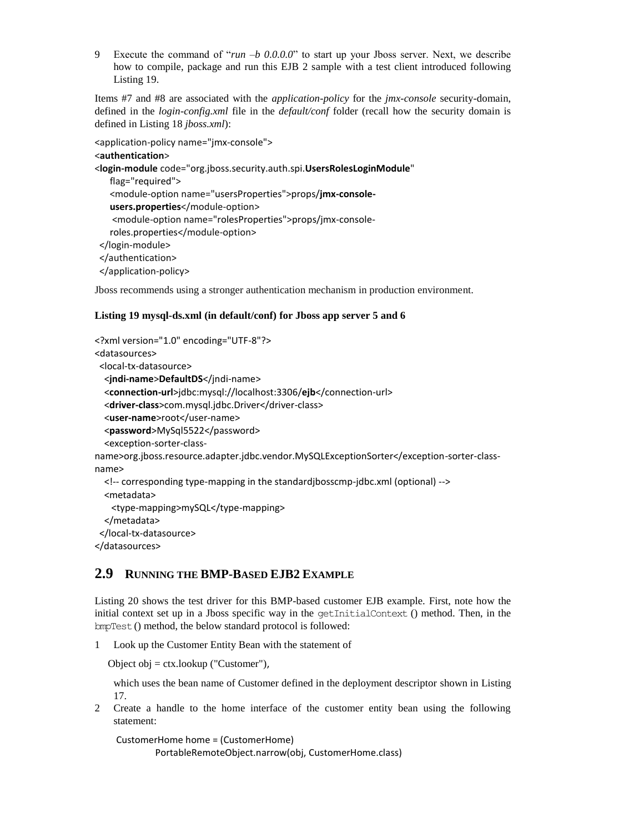9 Execute the command of "*run –b 0.0.0.0*" to start up your Jboss server. Next, we describe how to compile, package and run this EJB 2 sample with a test client introduced following Listing 19.

Items #7 and #8 are associated with the *application-policy* for the *jmx-console* security-domain, defined in the *login-config.xml* file in the *default/conf* folder (recall how the security domain is defined in Listing 18 *jboss.xml*):

```
<application-policy name="jmx-console">
<authentication>
<login-module code="org.jboss.security.auth.spi.UsersRolesLoginModule"
```

```
flag="required">
  <module-option name="usersProperties">props/jmx-console-
  users.properties</module-option>
  <module-option name="rolesProperties">props/jmx-console-
  roles.properties</module-option>
</login-module>
</authentication>
</application-policy>
```
Jboss recommends using a stronger authentication mechanism in production environment.

#### **Listing 19 mysql-ds.xml (in default/conf) for Jboss app server 5 and 6**

```
<?xml version="1.0" encoding="UTF-8"?>
<datasources>
  <local-tx-datasource>
   <jndi-name>DefaultDS</jndi-name>
   <connection-url>jdbc:mysql://localhost:3306/ejb</connection-url>
   <driver-class>com.mysql.jdbc.Driver</driver-class>
   <user-name>root</user-name>
   <password>MySql5522</password>
   <exception-sorter-class-
name>org.jboss.resource.adapter.jdbc.vendor.MySQLExceptionSorter</exception-sorter-class-
name>
   <!-- corresponding type-mapping in the standardjbosscmp-jdbc.xml (optional) -->
   <metadata>
    <type-mapping>mySQL</type-mapping>
  </metadata>
  </local-tx-datasource>
```

```
</datasources>
```
# **2.9 RUNNING THE BMP-BASED EJB2 EXAMPLE**

Listing 20 shows the test driver for this BMP-based customer EJB example. First, note how the initial context set up in a Jboss specific way in the getInitialContext () method. Then, in the bmpTest() method, the below standard protocol is followed:

1 Look up the Customer Entity Bean with the statement of

```
Object obj = ctx.lookup ("Customer"),
```
which uses the bean name of Customer defined in the deployment descriptor shown in Listing 17.

2 Create a handle to the home interface of the customer entity bean using the following statement:

CustomerHome home = (CustomerHome)

PortableRemoteObject.narrow(obj, CustomerHome.class)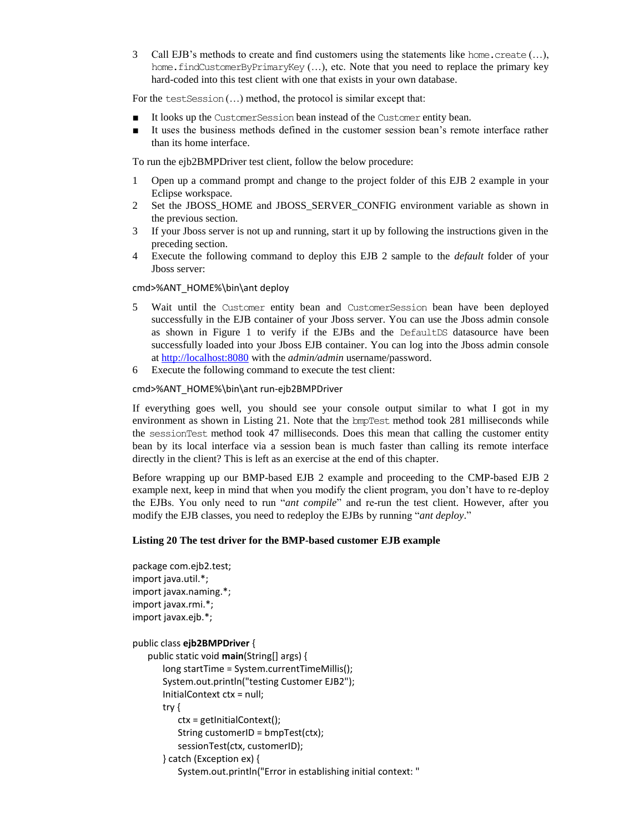3 Call EJB's methods to create and find customers using the statements like home.create (…), home. findCustomerByPrimaryKey (...), etc. Note that you need to replace the primary key hard-coded into this test client with one that exists in your own database.

For the test Session (...) method, the protocol is similar except that:

- It looks up the CustomerSession bean instead of the Customer entity bean.
- It uses the business methods defined in the customer session bean's remote interface rather than its home interface.

To run the ejb2BMPDriver test client, follow the below procedure:

- 1 Open up a command prompt and change to the project folder of this EJB 2 example in your Eclipse workspace.
- 2 Set the JBOSS\_HOME and JBOSS\_SERVER\_CONFIG environment variable as shown in the previous section.
- 3 If your Jboss server is not up and running, start it up by following the instructions given in the preceding section.
- 4 Execute the following command to deploy this EJB 2 sample to the *default* folder of your Jboss server:

#### cmd>%ANT\_HOME%\bin\ant deploy

- 5 Wait until the Customer entity bean and CustomerSession bean have been deployed successfully in the EJB container of your Jboss server. You can use the Jboss admin console as shown in Figure 1 to verify if the EJBs and the DefaultDS datasource have been successfully loaded into your Jboss EJB container. You can log into the Jboss admin console a[t http://localhost:8080](http://localhost:8080/) with the *admin/admin* username/password.
- 6 Execute the following command to execute the test client:

#### cmd>%ANT\_HOME%\bin\ant run-ejb2BMPDriver

If everything goes well, you should see your console output similar to what I got in my environment as shown in Listing 21. Note that the bmpTest method took 281 milliseconds while the sessionTest method took 47 milliseconds. Does this mean that calling the customer entity bean by its local interface via a session bean is much faster than calling its remote interface directly in the client? This is left as an exercise at the end of this chapter.

Before wrapping up our BMP-based EJB 2 example and proceeding to the CMP-based EJB 2 example next, keep in mind that when you modify the client program, you don't have to re-deploy the EJBs. You only need to run "*ant compile*" and re-run the test client. However, after you modify the EJB classes, you need to redeploy the EJBs by running "*ant deploy*."

#### **Listing 20 The test driver for the BMP-based customer EJB example**

```
package com.ejb2.test;
import java.util.*;
import javax.naming.*;
import javax.rmi.*;
import javax.ejb.*;
public class ejb2BMPDriver {
   public static void main(String[] args) {
       long startTime = System.currentTimeMillis();
       System.out.println("testing Customer EJB2");
       InitialContext ctx = null;
       try {
          ctx = getInitialContext();
          String customerID = bmpTest(ctx);
           sessionTest(ctx, customerID);
       } catch (Exception ex) {
          System.out.println("Error in establishing initial context: "
```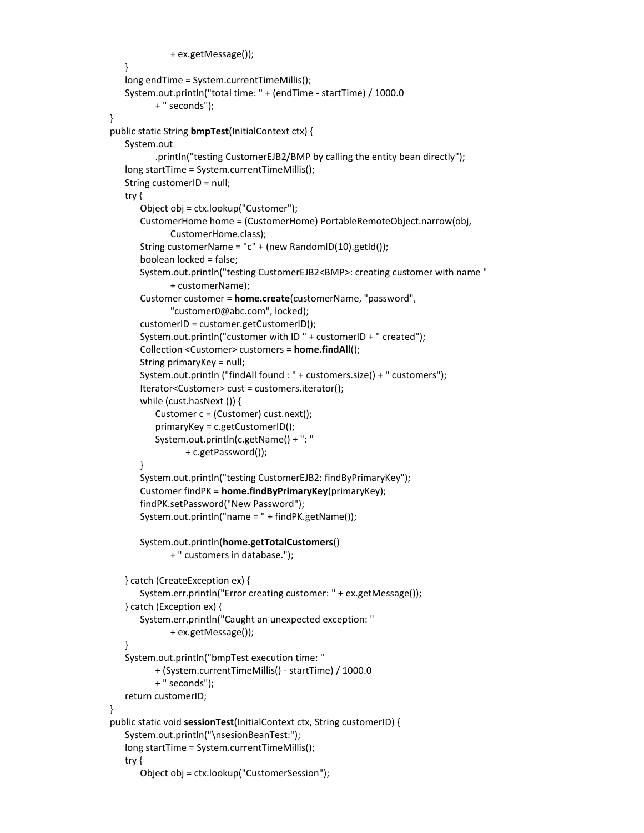```
+ ex.getMessage());
   }
   long endTime = System.currentTimeMillis();
   System.out.println("total time: " + (endTime - startTime) / 1000.0
          + " seconds");
}
public static String bmpTest(InitialContext ctx) {
   System.out
          .println("testing CustomerEJB2/BMP by calling the entity bean directly");
   long startTime = System.currentTimeMillis();
   String customerID = null;
   try {
       Object obj = ctx.lookup("Customer");
       CustomerHome home = (CustomerHome) PortableRemoteObject.narrow(obj,
             CustomerHome.class);
       String customerName = "c" + (new RandomID(10).getId());boolean locked = false;
       System.out.println("testing CustomerEJB2<BMP>: creating customer with name "
             + customerName);
       Customer customer = home.create(customerName, "password",
              "customer0@abc.com", locked);
       customerID = customer.getCustomerID();
       System.out.println("customer with ID " + customerID + " created");
       Collection <Customer> customers = home.findAll();
       String primaryKey = null;
       System.out.println ("findAll found : " + customers.size() + " customers");
       Iterator<Customer> cust = customers.iterator();
       while (cust.hasNext ()) {
          Customer c = (Customer) cust.next();
          primaryKey = c.getCustomerID();
          System.out.println(c.getName() + ": "
                 + c.getPassword());
       }
       System.out.println("testing CustomerEJB2: findByPrimaryKey");
       Customer findPK = home.findByPrimaryKey(primaryKey);
       findPK.setPassword("New Password");
       System.out.println("name = " + findPK.getName());
       System.out.println(home.getTotalCustomers()
             + " customers in database.");
   } catch (CreateException ex) {
       System.err.println("Error creating customer: " + ex.getMessage());
   } catch (Exception ex) {
       System.err.println("Caught an unexpected exception: "
             + ex.getMessage());
   }
   System.out.println("bmpTest execution time: "
          + (System.currentTimeMillis() - startTime) / 1000.0
          + " seconds");
   return customerID;
}
public static void sessionTest(InitialContext ctx, String customerID) {
   System.out.println("\nsesionBeanTest:");
   long startTime = System.currentTimeMillis();
   try {
       Object obj = ctx.lookup("CustomerSession");
```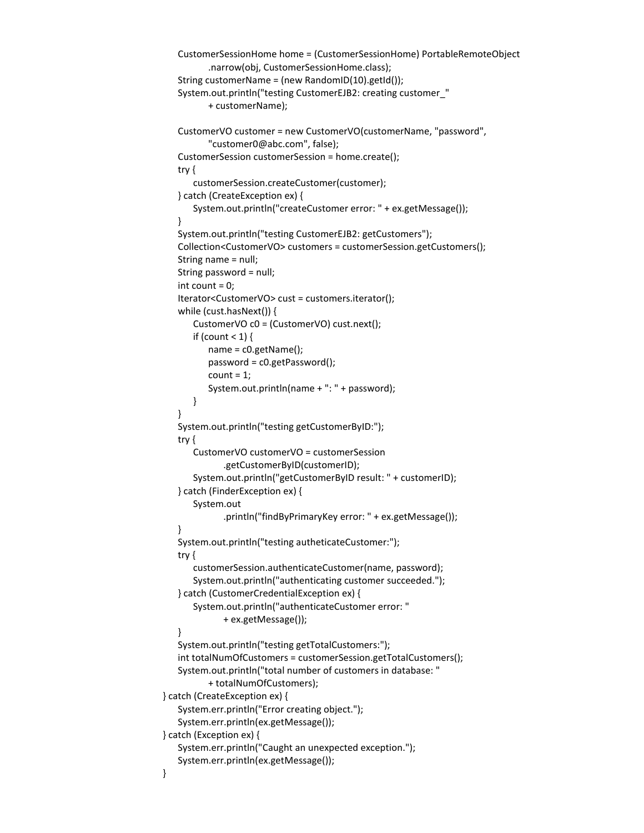```
CustomerSessionHome home = (CustomerSessionHome) PortableRemoteObject
          .narrow(obj, CustomerSessionHome.class);
   String customerName = (new RandomID(10).getId());
   System.out.println("testing CustomerEJB2: creating customer_"
          + customerName);
   CustomerVO customer = new CustomerVO(customerName, "password",
          "customer0@abc.com", false);
   CustomerSession customerSession = home.create();
   try {
       customerSession.createCustomer(customer);
   } catch (CreateException ex) {
      System.out.println("createCustomer error: " + ex.getMessage());
   }
   System.out.println("testing CustomerEJB2: getCustomers");
   Collection<CustomerVO> customers = customerSession.getCustomers();
   String name = null;
   String password = null;
   int count = 0;
   Iterator<CustomerVO> cust = customers.iterator();
   while (cust.hasNext()) {
      CustomerVO c0 = (CustomerVO) cust.next();
      if (count < 1) {
          name = c0.getName();
          password = c0.getPassword();
          count = 1;
          System.out.println(name + ": " + password);
      }
   }
   System.out.println("testing getCustomerByID:");
   try {
       CustomerVO customerVO = customerSession
             .getCustomerByID(customerID);
      System.out.println("getCustomerByID result: " + customerID);
   } catch (FinderException ex) {
      System.out
             .println("findByPrimaryKey error: " + ex.getMessage());
   }
   System.out.println("testing autheticateCustomer:");
   try {
      customerSession.authenticateCustomer(name, password);
       System.out.println("authenticating customer succeeded.");
   } catch (CustomerCredentialException ex) {
      System.out.println("authenticateCustomer error: "
             + ex.getMessage());
   }
   System.out.println("testing getTotalCustomers:");
   int totalNumOfCustomers = customerSession.getTotalCustomers();
   System.out.println("total number of customers in database: "
          + totalNumOfCustomers);
} catch (CreateException ex) {
   System.err.println("Error creating object.");
   System.err.println(ex.getMessage());
} catch (Exception ex) {
   System.err.println("Caught an unexpected exception.");
   System.err.println(ex.getMessage());
```
}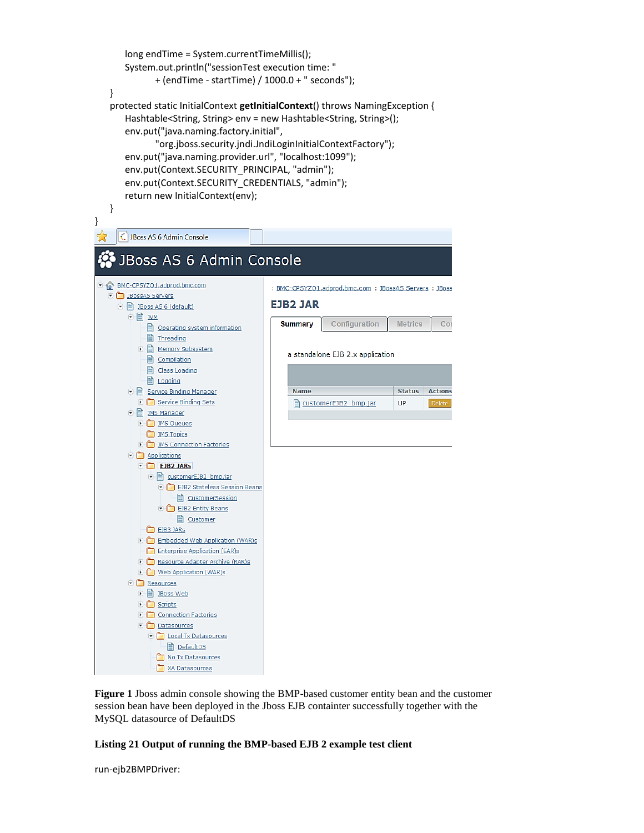long endTime = System.currentTimeMillis(); System.out.println("sessionTest execution time: " + (endTime - startTime) / 1000.0 + " seconds"); } protected static InitialContext **getInitialContext**() throws NamingException { Hashtable<String, String> env = new Hashtable<String, String>(); env.put("java.naming.factory.initial", "org.jboss.security.jndi.JndiLoginInitialContextFactory"); env.put("java.naming.provider.url", "localhost:1099"); env.put(Context.SECURITY\_PRINCIPAL, "admin"); env.put(Context.SECURITY\_CREDENTIALS, "admin"); return new InitialContext(env); }



**Figure 1** Jboss admin console showing the BMP-based customer entity bean and the customer session bean have been deployed in the Jboss EJB containter successfully together with the MySQL datasource of DefaultDS

#### **Listing 21 Output of running the BMP-based EJB 2 example test client**

run-ejb2BMPDriver:

}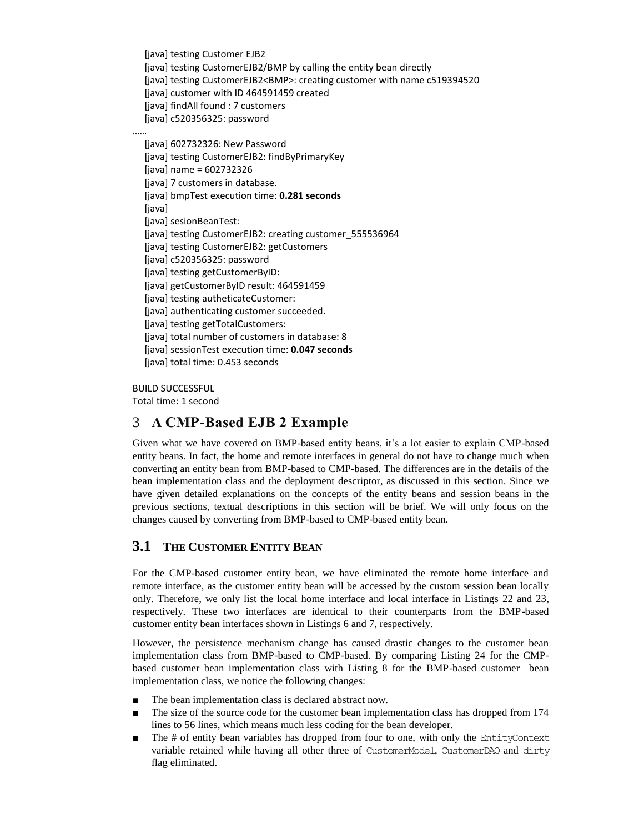[java] testing Customer EJB2 [java] testing CustomerEJB2/BMP by calling the entity bean directly [java] testing CustomerEJB2<BMP>: creating customer with name c519394520 [java] customer with ID 464591459 created [java] findAll found : 7 customers [java] c520356325: password

 [java] 602732326: New Password [java] testing CustomerEJB2: findByPrimaryKey [java] name = 602732326 [java] 7 customers in database. [java] bmpTest execution time: **0.281 seconds** [java] [java] sesionBeanTest: [java] testing CustomerEJB2: creating customer\_555536964 [java] testing CustomerEJB2: getCustomers [java] c520356325: password [java] testing getCustomerByID: [java] getCustomerByID result: 464591459 [java] testing autheticateCustomer: [java] authenticating customer succeeded. [java] testing getTotalCustomers: [java] total number of customers in database: 8 [java] sessionTest execution time: **0.047 seconds** [java] total time: 0.453 seconds

BUILD SUCCESSFUL

……

Total time: 1 second

# 3 **A CMP-Based EJB 2 Example**

Given what we have covered on BMP-based entity beans, it's a lot easier to explain CMP-based entity beans. In fact, the home and remote interfaces in general do not have to change much when converting an entity bean from BMP-based to CMP-based. The differences are in the details of the bean implementation class and the deployment descriptor, as discussed in this section. Since we have given detailed explanations on the concepts of the entity beans and session beans in the previous sections, textual descriptions in this section will be brief. We will only focus on the changes caused by converting from BMP-based to CMP-based entity bean.

# **3.1 THE CUSTOMER ENTITY BEAN**

For the CMP-based customer entity bean, we have eliminated the remote home interface and remote interface, as the customer entity bean will be accessed by the custom session bean locally only. Therefore, we only list the local home interface and local interface in Listings 22 and 23, respectively. These two interfaces are identical to their counterparts from the BMP-based customer entity bean interfaces shown in Listings 6 and 7, respectively.

However, the persistence mechanism change has caused drastic changes to the customer bean implementation class from BMP-based to CMP-based. By comparing Listing 24 for the CMPbased customer bean implementation class with Listing 8 for the BMP-based customer bean implementation class, we notice the following changes:

- The bean implementation class is declared abstract now.
- The size of the source code for the customer bean implementation class has dropped from 174 lines to 56 lines, which means much less coding for the bean developer.
- The # of entity bean variables has dropped from four to one, with only the EntityContext variable retained while having all other three of CustomerModel, CustomerDAO and dirty flag eliminated.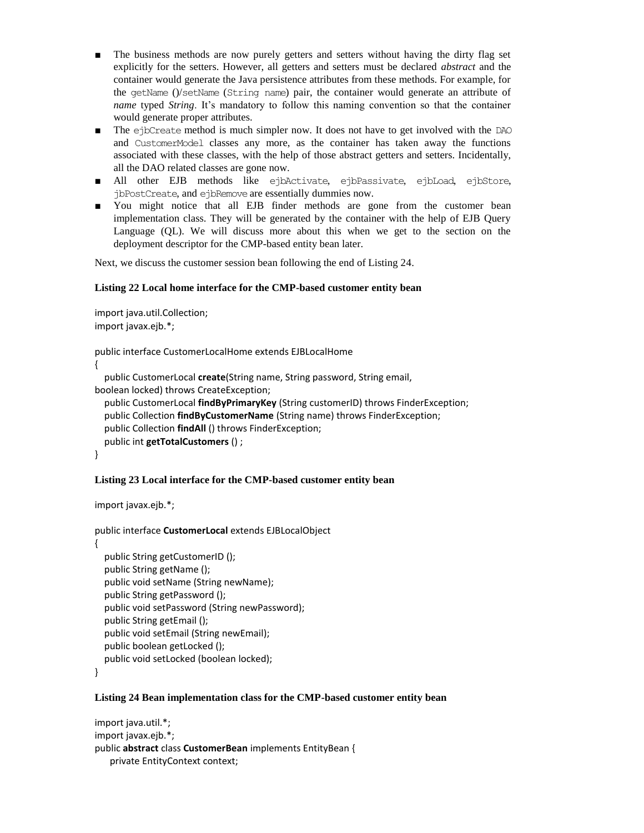- The business methods are now purely getters and setters without having the dirty flag set explicitly for the setters. However, all getters and setters must be declared *abstract* and the container would generate the Java persistence attributes from these methods. For example, for the getName ()/setName (String name) pair, the container would generate an attribute of *name* typed *String*. It's mandatory to follow this naming convention so that the container would generate proper attributes.
- The ejbCreate method is much simpler now. It does not have to get involved with the DAO and CustomerModel classes any more, as the container has taken away the functions associated with these classes, with the help of those abstract getters and setters. Incidentally, all the DAO related classes are gone now.
- All other EJB methods like ejbActivate, ejbPassivate, ejbLoad, ejbStore, jbPostCreate, and ejbRemove are essentially dummies now.
- You might notice that all EJB finder methods are gone from the customer bean implementation class. They will be generated by the container with the help of EJB Query Language (QL). We will discuss more about this when we get to the section on the deployment descriptor for the CMP-based entity bean later.

Next, we discuss the customer session bean following the end of Listing 24.

#### **Listing 22 Local home interface for the CMP-based customer entity bean**

```
import java.util.Collection;
import javax.ejb.*;
public interface CustomerLocalHome extends EJBLocalHome
{
   public CustomerLocal create(String name, String password, String email, 
boolean locked) throws CreateException;
   public CustomerLocal findByPrimaryKey (String customerID) throws FinderException;
   public Collection findByCustomerName (String name) throws FinderException;
   public Collection findAll () throws FinderException;
   public int getTotalCustomers () ;
}
```
#### **Listing 23 Local interface for the CMP-based customer entity bean**

import javax.ejb.\*;

```
public interface CustomerLocal extends EJBLocalObject
```
{ public String getCustomerID (); public String getName (); public void setName (String newName); public String getPassword (); public void setPassword (String newPassword); public String getEmail (); public void setEmail (String newEmail); public boolean getLocked (); public void setLocked (boolean locked); }

#### **Listing 24 Bean implementation class for the CMP-based customer entity bean**

```
import java.util.*;
import javax.ejb.*;
public abstract class CustomerBean implements EntityBean {
   private EntityContext context;
```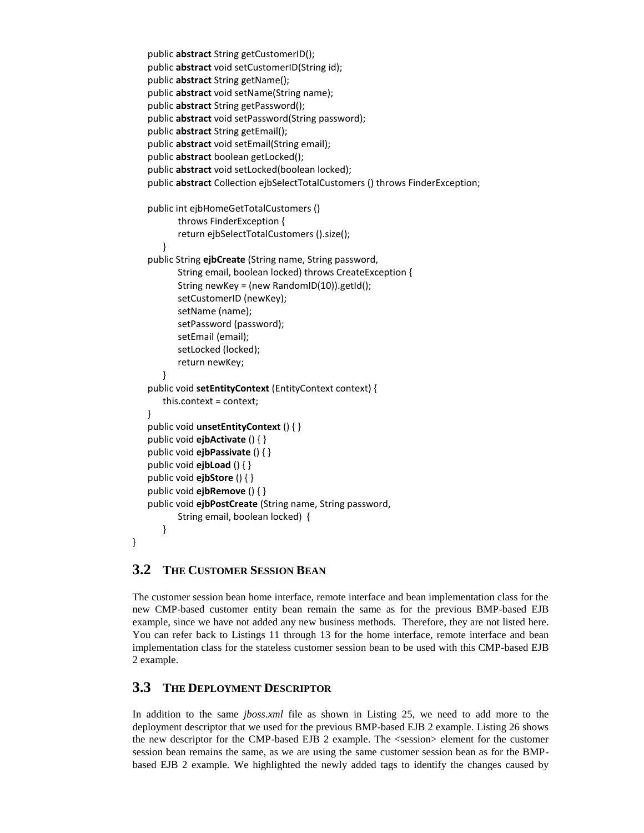```
public abstract String getCustomerID();
public abstract void setCustomerID(String id);
public abstract String getName();
public abstract void setName(String name);
public abstract String getPassword();
public abstract void setPassword(String password);
public abstract String getEmail();
public abstract void setEmail(String email);
public abstract boolean getLocked();
public abstract void setLocked(boolean locked);
public abstract Collection ejbSelectTotalCustomers () throws FinderException;
public int ejbHomeGetTotalCustomers () 
       throws FinderException {
       return ejbSelectTotalCustomers ().size();
   }
public String ejbCreate (String name, String password,
       String email, boolean locked) throws CreateException {
       String newKey = (new RandomID(10)).getId();
       setCustomerID (newKey);
       setName (name);
       setPassword (password);
       setEmail (email);
       setLocked (locked);
       return newKey;
   }
public void setEntityContext (EntityContext context) {
   this.context = context;
}
public void unsetEntityContext () { }
public void ejbActivate () { }
public void ejbPassivate () { }
public void ejbLoad () { }
public void ejbStore () { }
public void ejbRemove () { }
public void ejbPostCreate (String name, String password,
       String email, boolean locked) {
   }
```
# **3.2 THE CUSTOMER SESSION BEAN**

}

The customer session bean home interface, remote interface and bean implementation class for the new CMP-based customer entity bean remain the same as for the previous BMP-based EJB example, since we have not added any new business methods. Therefore, they are not listed here. You can refer back to Listings 11 through 13 for the home interface, remote interface and bean implementation class for the stateless customer session bean to be used with this CMP-based EJB 2 example.

# **3.3 THE DEPLOYMENT DESCRIPTOR**

In addition to the same *jboss.xml* file as shown in Listing 25, we need to add more to the deployment descriptor that we used for the previous BMP-based EJB 2 example. Listing 26 shows the new descriptor for the CMP-based EJB 2 example. The <session> element for the customer session bean remains the same, as we are using the same customer session bean as for the BMPbased EJB 2 example. We highlighted the newly added tags to identify the changes caused by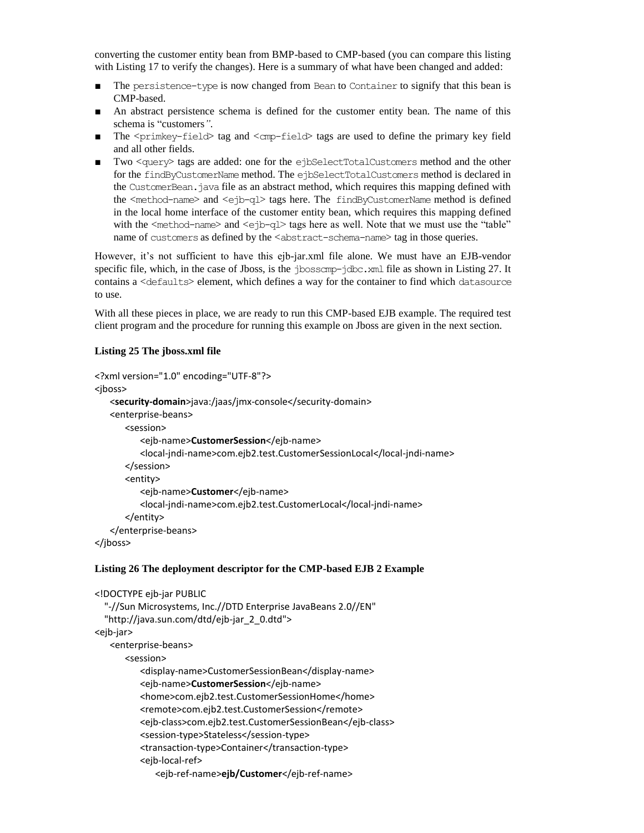converting the customer entity bean from BMP-based to CMP-based (you can compare this listing with Listing 17 to verify the changes). Here is a summary of what have been changed and added:

- The persistence-type is now changed from Bean to Container to signify that this bean is CMP-based.
- An abstract persistence schema is defined for the customer entity bean. The name of this schema is "customers*"*.
- **The**  $\langle \text{prime} \rangle$ **-field** tag and  $\langle \text{cm} \rangle$ -field tags are used to define the primary key field and all other fields.
- Two <query> tags are added: one for the ejbSelectTotalCustomers method and the other for the findByCustomerNamemethod. The ejbSelectTotalCustomers method is declared in the CustomerBean.java file as an abstract method, which requires this mapping defined with the <method-name> and <ejb-ql> tags here. The findByCustomerName method is defined in the local home interface of the customer entity bean, which requires this mapping defined with the  $\leq$ method-name> and  $\leq$ ejb-q1> tags here as well. Note that we must use the "table" name of customers as defined by the <abstract-schema-name> tag in those queries.

However, it's not sufficient to have this ejb-jar.xml file alone. We must have an EJB-vendor specific file, which, in the case of Jboss, is the  $\frac{1}{100}$  in  $\frac{1}{100}$  and file as shown in Listing 27. It contains a <defaults> element, which defines a way for the container to find which datasource to use.

With all these pieces in place, we are ready to run this CMP-based EJB example. The required test client program and the procedure for running this example on Jboss are given in the next section.

#### **Listing 25 The jboss.xml file**

```
<?xml version="1.0" encoding="UTF-8"?>
<jboss>
   <security-domain>java:/jaas/jmx-console</security-domain>
   <enterprise-beans>
      <session>
         <ejb-name>CustomerSession</ejb-name>
         <local-jndi-name>com.ejb2.test.CustomerSessionLocal</local-jndi-name>
      </session>
      <entity>
         <ejb-name>Customer</ejb-name>
         <local-jndi-name>com.ejb2.test.CustomerLocal</local-jndi-name>
      </entity>
   </enterprise-beans>
</jboss>
```
#### **Listing 26 The deployment descriptor for the CMP-based EJB 2 Example**

```
<!DOCTYPE ejb-jar PUBLIC
   "-//Sun Microsystems, Inc.//DTD Enterprise JavaBeans 2.0//EN"
   "http://java.sun.com/dtd/ejb-jar_2_0.dtd">
<ejb-jar>
   <enterprise-beans>
      <session>
         <display-name>CustomerSessionBean</display-name>
         <ejb-name>CustomerSession</ejb-name>
         <home>com.ejb2.test.CustomerSessionHome</home>
         <remote>com.ejb2.test.CustomerSession</remote>
         <ejb-class>com.ejb2.test.CustomerSessionBean</ejb-class>
         <session-type>Stateless</session-type>
         <transaction-type>Container</transaction-type>
         <ejb-local-ref>
             <ejb-ref-name>ejb/Customer</ejb-ref-name>
```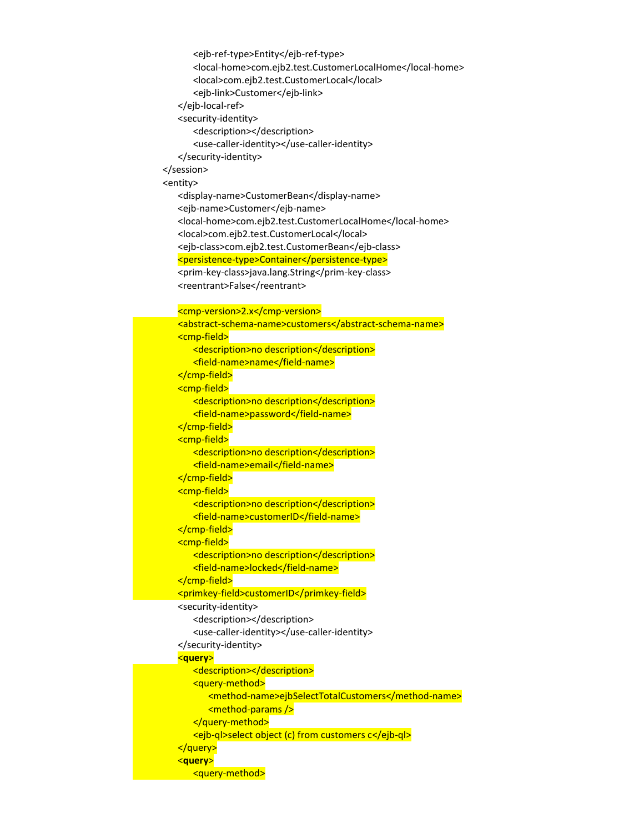<ejb-ref-type>Entity</ejb-ref-type> <local-home>com.ejb2.test.CustomerLocalHome</local-home> <local>com.ejb2.test.CustomerLocal</local> <ejb-link>Customer</ejb-link> </ejb-local-ref> <security-identity> <description></description> <use-caller-identity></use-caller-identity> </security-identity> </session> <entity> <display-name>CustomerBean</display-name> <ejb-name>Customer</ejb-name> <local-home>com.ejb2.test.CustomerLocalHome</local-home> <local>com.ejb2.test.CustomerLocal</local> <ejb-class>com.ejb2.test.CustomerBean</ejb-class> <persistence-type>Container</persistence-type> <prim-key-class>java.lang.String</prim-key-class> <reentrant>False</reentrant> <cmp-version>2.x</cmp-version> <abstract-schema-name>customers</abstract-schema-name> <cmp-field> <description>no description</description> <field-name>name</field-name> </cmp-field> <cmp-field> <description>no description</description> <field-name>password</field-name> </cmp-field> <cmp-field> <description>no description</description> <field-name>email</field-name> </cmp-field> <cmp-field> <description>no description</description> <field-name>customerID</field-name> </cmp-field> <cmp-field> <description>no description</description> <field-name>locked</field-name> </cmp-field> <primkey-field>customerID</primkey-field> <security-identity> <description></description> <use-caller-identity></use-caller-identity> </security-identity> <**query**> <description></description> <query-method> <method-name>ejbSelectTotalCustomers</method-name> <method-params /> </query-method> <ejb-ql>select object (c) from customers c</ejb-ql> </query> <**query**> <query-method>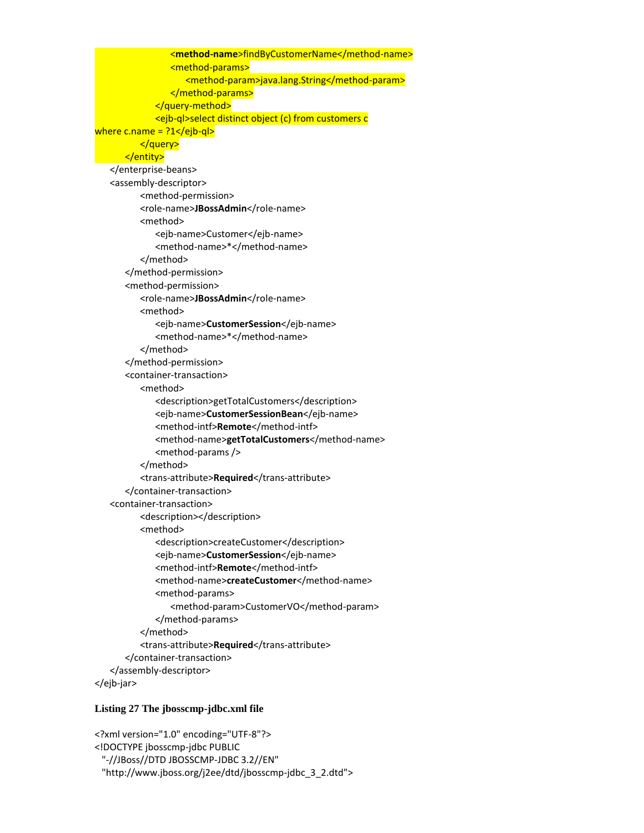<**method-name**>findByCustomerName</method-name> <method-params> <method-param>java.lang.String</method-param> </method-params> </query-method> <ejb-ql>select distinct object (c) from customers c where c.name =  $?1$  </ejb-ql > </query> </entity> </enterprise-beans> <assembly-descriptor> <method-permission> <role-name>JBossAdmin</role-name> <method> <ejb-name>Customer</ejb-name> <method-name>\*</method-name> </method> </method-permission> <method-permission> <role-name>**JBossAdmin**</role-name> <method> <ejb-name>**CustomerSession**</ejb-name> <method-name>\*</method-name> </method> </method-permission> <container-transaction> <method> <description>getTotalCustomers</description> <ejb-name>**CustomerSessionBean**</ejb-name> <method-intf>**Remote**</method-intf> <method-name>**getTotalCustomers**</method-name> <method-params /> </method> <trans-attribute>**Required**</trans-attribute> </container-transaction> <container-transaction> <description></description> <method> <description>createCustomer</description> <ejb-name>**CustomerSession**</ejb-name> <method-intf>**Remote**</method-intf> <method-name>**createCustomer**</method-name> <method-params> <method-param>CustomerVO</method-param> </method-params> </method> <trans-attribute>**Required**</trans-attribute> </container-transaction> </assembly-descriptor> </ejb-jar>

#### **Listing 27 The jbosscmp-jdbc.xml file**

```
<?xml version="1.0" encoding="UTF-8"?>
<!DOCTYPE jbosscmp-jdbc PUBLIC
  "-//JBoss//DTD JBOSSCMP-JDBC 3.2//EN"
  "http://www.jboss.org/j2ee/dtd/jbosscmp-jdbc_3_2.dtd">
```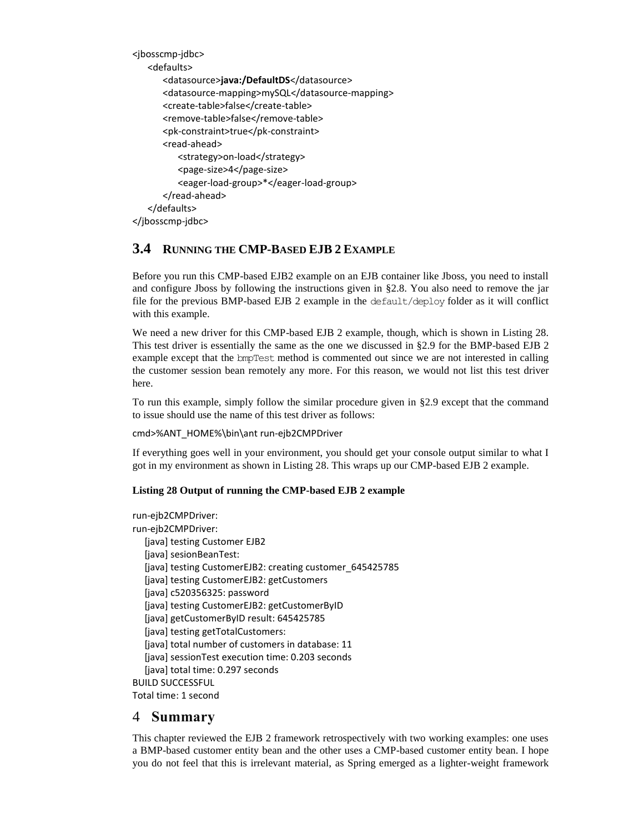```
<jbosscmp-jdbc>
   <defaults>
      <datasource>java:/DefaultDS</datasource>
      <datasource-mapping>mySQL</datasource-mapping>
      <create-table>false</create-table>
      <remove-table>false</remove-table>
      <pk-constraint>true</pk-constraint>
      <read-ahead>
         <strategy>on-load</strategy>
         <page-size>4</page-size>
          <eager-load-group>*</eager-load-group>
      </read-ahead>
   </defaults>
</jbosscmp-jdbc>
```
# **3.4 RUNNING THE CMP-BASED EJB 2 EXAMPLE**

Before you run this CMP-based EJB2 example on an EJB container like Jboss, you need to install and configure Jboss by following the instructions given in §2.8. You also need to remove the jar file for the previous BMP-based EJB 2 example in the default/deploy folder as it will conflict with this example.

We need a new driver for this CMP-based EJB 2 example, though, which is shown in Listing 28. This test driver is essentially the same as the one we discussed in §2.9 for the BMP-based EJB 2 example except that the bmpTest method is commented out since we are not interested in calling the customer session bean remotely any more. For this reason, we would not list this test driver here.

To run this example, simply follow the similar procedure given in §2.9 except that the command to issue should use the name of this test driver as follows:

cmd>%ANT\_HOME%\bin\ant run-ejb2CMPDriver

If everything goes well in your environment, you should get your console output similar to what I got in my environment as shown in Listing 28. This wraps up our CMP-based EJB 2 example.

#### **Listing 28 Output of running the CMP-based EJB 2 example**

run-ejb2CMPDriver: run-ejb2CMPDriver: [java] testing Customer EJB2 [java] sesionBeanTest: [java] testing CustomerEJB2: creating customer 645425785 [java] testing CustomerEJB2: getCustomers [java] c520356325: password [java] testing CustomerEJB2: getCustomerByID [java] getCustomerByID result: 645425785 [java] testing getTotalCustomers: [java] total number of customers in database: 11 [java] sessionTest execution time: 0.203 seconds [java] total time: 0.297 seconds BUILD SUCCESSFUL

Total time: 1 second

### 4 **Summary**

This chapter reviewed the EJB 2 framework retrospectively with two working examples: one uses a BMP-based customer entity bean and the other uses a CMP-based customer entity bean. I hope you do not feel that this is irrelevant material, as Spring emerged as a lighter-weight framework